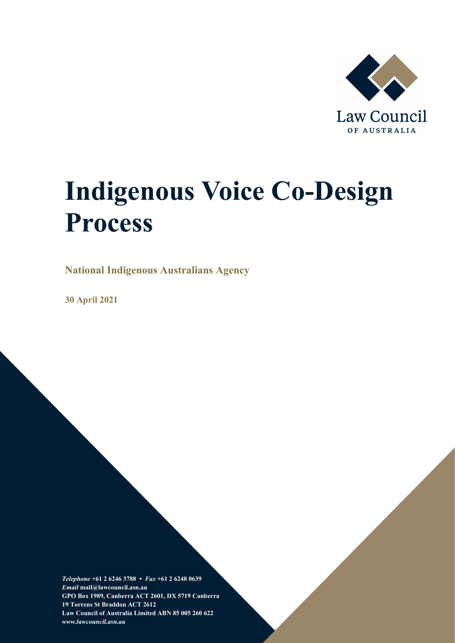

# **Indigenous Voice Co-Design Process**

**National Indigenous Australians Agency**

**30 April 2021**

*Telephone* **+61 2 6246 3788 •** *Fax* **+61 2 6248 0639**  *Email* **mail@lawcouncil.asn.au GPO Box 1989, Canberra ACT 2601, DX 5719 Canberra 19 Torrens St Braddon ACT 2612 Law Council of Australia Limited ABN 85 005 260 622** *www.lawcouncil.asn.au*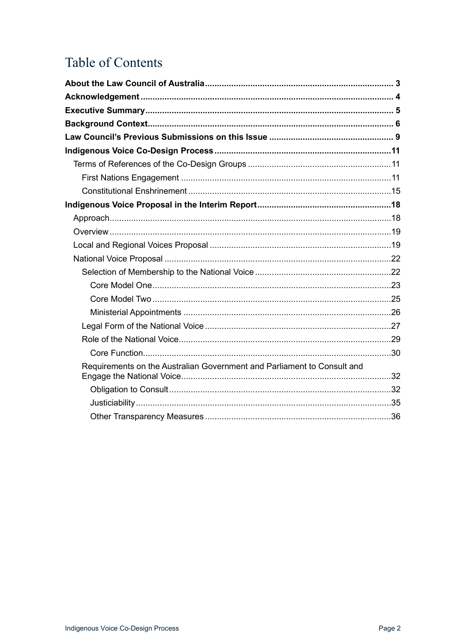# Table of Contents

| Requirements on the Australian Government and Parliament to Consult and |  |
|-------------------------------------------------------------------------|--|
|                                                                         |  |
|                                                                         |  |
|                                                                         |  |
|                                                                         |  |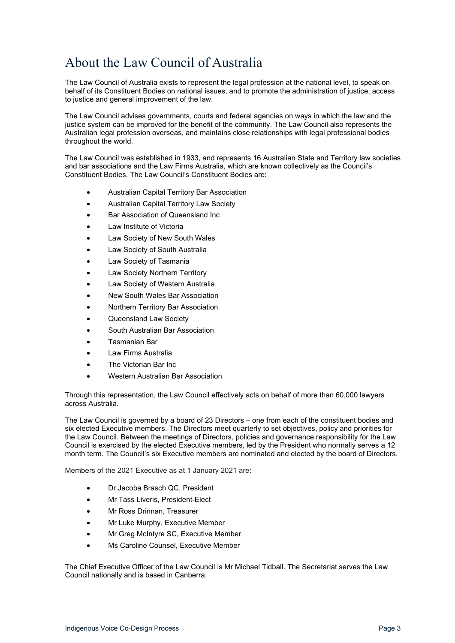# <span id="page-2-0"></span>About the Law Council of Australia

The Law Council of Australia exists to represent the legal profession at the national level, to speak on behalf of its Constituent Bodies on national issues, and to promote the administration of justice, access to justice and general improvement of the law.

The Law Council advises governments, courts and federal agencies on ways in which the law and the justice system can be improved for the benefit of the community. The Law Council also represents the Australian legal profession overseas, and maintains close relationships with legal professional bodies throughout the world.

The Law Council was established in 1933, and represents 16 Australian State and Territory law societies and bar associations and the Law Firms Australia, which are known collectively as the Council's Constituent Bodies. The Law Council's Constituent Bodies are:

- Australian Capital Territory Bar Association
- Australian Capital Territory Law Society
- Bar Association of Queensland Inc
- Law Institute of Victoria
- Law Society of New South Wales
- Law Society of South Australia
- Law Society of Tasmania
- Law Society Northern Territory
- Law Society of Western Australia
- New South Wales Bar Association
- Northern Territory Bar Association
- Queensland Law Society
- South Australian Bar Association
- Tasmanian Bar
- Law Firms Australia
- The Victorian Bar Inc
- Western Australian Bar Association

Through this representation, the Law Council effectively acts on behalf of more than 60,000 lawyers across Australia.

The Law Council is governed by a board of 23 Directors – one from each of the constituent bodies and six elected Executive members. The Directors meet quarterly to set objectives, policy and priorities for the Law Council. Between the meetings of Directors, policies and governance responsibility for the Law Council is exercised by the elected Executive members, led by the President who normally serves a 12 month term. The Council's six Executive members are nominated and elected by the board of Directors.

Members of the 2021 Executive as at 1 January 2021 are:

- Dr Jacoba Brasch QC, President
- Mr Tass Liveris, President-Elect
- Mr Ross Drinnan, Treasurer
- Mr Luke Murphy, Executive Member
- Mr Greg McIntyre SC, Executive Member
- Ms Caroline Counsel, Executive Member

The Chief Executive Officer of the Law Council is Mr Michael Tidball. The Secretariat serves the Law Council nationally and is based in Canberra.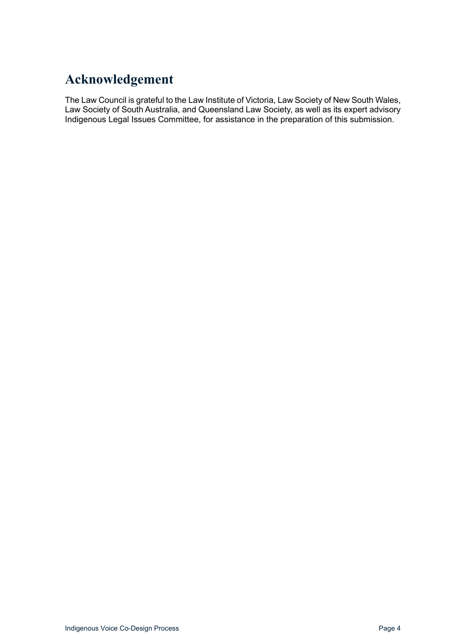# <span id="page-3-0"></span>**Acknowledgement**

The Law Council is grateful to the Law Institute of Victoria, Law Society of New South Wales, Law Society of South Australia, and Queensland Law Society, as well as its expert advisory Indigenous Legal Issues Committee, for assistance in the preparation of this submission.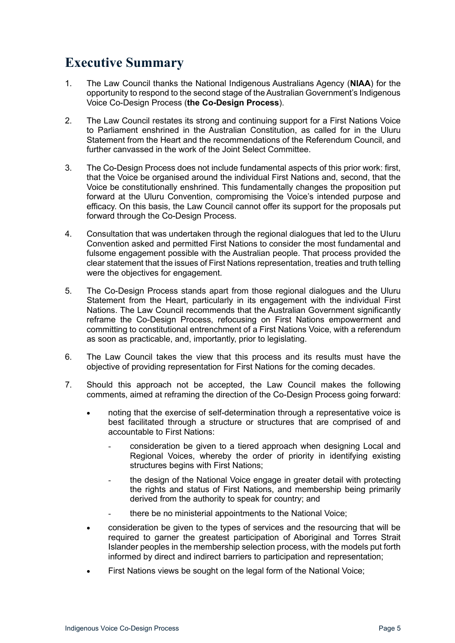### <span id="page-4-0"></span>**Executive Summary**

- 1. The Law Council thanks the National Indigenous Australians Agency (**NIAA**) for the opportunity to respond to the second stage of the Australian Government's Indigenous Voice Co-Design Process (**the Co-Design Process**).
- 2. The Law Council restates its strong and continuing support for a First Nations Voice to Parliament enshrined in the Australian Constitution, as called for in the Uluru Statement from the Heart and the recommendations of the Referendum Council, and further canvassed in the work of the Joint Select Committee.
- 3. The Co-Design Process does not include fundamental aspects of this prior work: first, that the Voice be organised around the individual First Nations and, second, that the Voice be constitutionally enshrined. This fundamentally changes the proposition put forward at the Uluru Convention, compromising the Voice's intended purpose and efficacy. On this basis, the Law Council cannot offer its support for the proposals put forward through the Co-Design Process.
- 4. Consultation that was undertaken through the regional dialogues that led to the UIuru Convention asked and permitted First Nations to consider the most fundamental and fulsome engagement possible with the Australian people. That process provided the clear statement that the issues of First Nations representation, treaties and truth telling were the objectives for engagement.
- 5. The Co-Design Process stands apart from those regional dialogues and the Uluru Statement from the Heart, particularly in its engagement with the individual First Nations. The Law Council recommends that the Australian Government significantly reframe the Co-Design Process, refocusing on First Nations empowerment and committing to constitutional entrenchment of a First Nations Voice, with a referendum as soon as practicable, and, importantly, prior to legislating.
- 6. The Law Council takes the view that this process and its results must have the objective of providing representation for First Nations for the coming decades.
- 7. Should this approach not be accepted, the Law Council makes the following comments, aimed at reframing the direction of the Co-Design Process going forward:
	- noting that the exercise of self-determination through a representative voice is best facilitated through a structure or structures that are comprised of and accountable to First Nations:
		- consideration be given to a tiered approach when designing Local and Regional Voices, whereby the order of priority in identifying existing structures begins with First Nations;
		- the design of the National Voice engage in greater detail with protecting the rights and status of First Nations, and membership being primarily derived from the authority to speak for country; and
		- there be no ministerial appointments to the National Voice;
	- consideration be given to the types of services and the resourcing that will be required to garner the greatest participation of Aboriginal and Torres Strait Islander peoples in the membership selection process, with the models put forth informed by direct and indirect barriers to participation and representation;
	- First Nations views be sought on the legal form of the National Voice;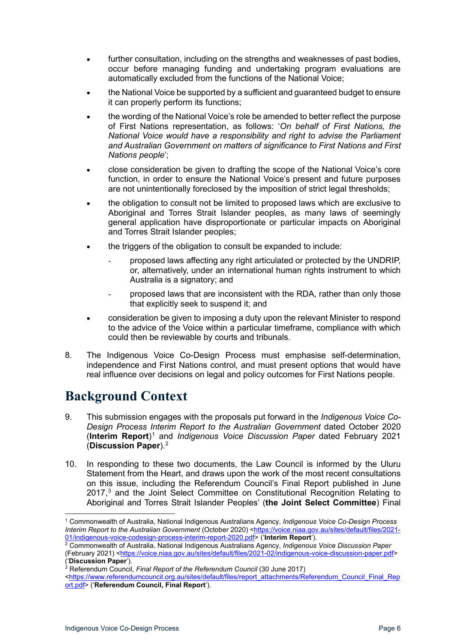- further consultation, including on the strengths and weaknesses of past bodies, occur before managing funding and undertaking program evaluations are automatically excluded from the functions of the National Voice;
- the National Voice be supported by a sufficient and guaranteed budget to ensure it can properly perform its functions;
- the wording of the National Voice's role be amended to better reflect the purpose of First Nations representation, as follows: '*On behalf of First Nations, the National Voice would have a responsibility and right to advise the Parliament and Australian Government on matters of significance to First Nations and First Nations people*';
- close consideration be given to drafting the scope of the National Voice's core function, in order to ensure the National Voice's present and future purposes are not unintentionally foreclosed by the imposition of strict legal thresholds;
- the obligation to consult not be limited to proposed laws which are exclusive to Aboriginal and Torres Strait Islander peoples, as many laws of seemingly general application have disproportionate or particular impacts on Aboriginal and Torres Strait Islander peoples;
- the triggers of the obligation to consult be expanded to include:
	- proposed laws affecting any right articulated or protected by the UNDRIP, or, alternatively, under an international human rights instrument to which Australia is a signatory; and
	- proposed laws that are inconsistent with the RDA, rather than only those that explicitly seek to suspend it; and
- consideration be given to imposing a duty upon the relevant Minister to respond to the advice of the Voice within a particular timeframe, compliance with which could then be reviewable by courts and tribunals.
- 8. The Indigenous Voice Co-Design Process must emphasise self-determination, independence and First Nations control, and must present options that would have real influence over decisions on legal and policy outcomes for First Nations people.

# <span id="page-5-0"></span>**Background Context**

- 9. This submission engages with the proposals put forward in the *Indigenous Voice Co-Design Process Interim Report to the Australian Government* dated October 2020 (**Interim Report**)[1](#page-5-1) and *Indigenous Voice Discussion Paper* dated February 2021 (**Discussion Paper**).[2](#page-5-2)
- 10. In responding to these two documents, the Law Council is informed by the Uluru Statement from the Heart, and draws upon the work of the most recent consultations on this issue, including the Referendum Council's Final Report published in June 2017, [3](#page-5-3) and the Joint Select Committee on Constitutional Recognition Relating to Aboriginal and Torres Strait Islander Peoples' (**the Joint Select Committee**) Final

<span id="page-5-1"></span><sup>1</sup> Commonwealth of Australia, National Indigenous Australians Agency, *Indigenous Voice Co-Design Process Interim Report to the Australian Government* (October 2020) [<https://voice.niaa.gov.au/sites/default/files/2021-](https://voice.niaa.gov.au/sites/default/files/2021-01/indigenous-voice-codesign-process-interim-report-2020.pdf)01/indigenous-voice-codesign-process-interim-report-2020.pdf> ('**Interim Report**').

<span id="page-5-2"></span><sup>&</sup>lt;sup>2</sup> Commonwealth of Australia, National Indigenous Australians Agency, Indigenous Voice Discussion Paper (February 2021) [<https://voice.niaa.gov.au/sites/default/files/2021-02/indigenous-voice-discussion-paper.pdf>](https://voice.niaa.gov.au/sites/default/files/2021-02/indigenous-voice-discussion-paper.pdf) ('**Discussion Paper**').

<sup>3</sup> Referendum Council, *Final Report of the Referendum Council* (30 June 2017)

<span id="page-5-3"></span>[<sup>&</sup>lt;https://www.referendumcouncil.org.au/sites/default/files/report\\_attachments/Referendum\\_Council\\_Final\\_Rep](https://www.referendumcouncil.org.au/sites/default/files/report_attachments/Referendum_Council_Final_Report.pdf) [ort.pdf>](https://www.referendumcouncil.org.au/sites/default/files/report_attachments/Referendum_Council_Final_Report.pdf) ('**Referendum Council, Final Report**').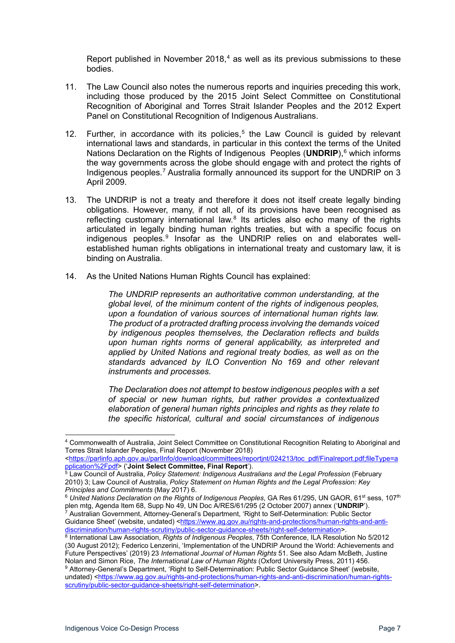Report published in November 2018, [4](#page-6-0) as well as its previous submissions to these bodies.

- 11. The Law Council also notes the numerous reports and inquiries preceding this work, including those produced by the 2015 Joint Select Committee on Constitutional Recognition of Aboriginal and Torres Strait Islander Peoples and the 2012 Expert Panel on Constitutional Recognition of Indigenous Australians.
- 12. Further, in accordance with its policies,<sup>[5](#page-6-1)</sup> the Law Council is guided by relevant international laws and standards, in particular in this context the terms of the United Nations Declaration on the Rights of Indigenous Peoples (**UNDRIP**),<sup>[6](#page-6-2)</sup> which informs the way governments across the globe should engage with and protect the rights of Indigenous peoples.<sup>[7](#page-6-3)</sup> Australia formally announced its support for the UNDRIP on 3 April 2009.
- 13. The UNDRIP is not a treaty and therefore it does not itself create legally binding obligations. However, many, if not all, of its provisions have been recognised as reflecting customary international law.<sup>[8](#page-6-4)</sup> Its articles also echo many of the rights articulated in legally binding human rights treaties, but with a specific focus on indigenous peoples.<sup>[9](#page-6-5)</sup> Insofar as the UNDRIP relies on and elaborates wellestablished human rights obligations in international treaty and customary law, it is binding on Australia.
- 14. As the United Nations Human Rights Council has explained:

*The UNDRIP represents an authoritative common understanding, at the global level, of the minimum content of the rights of indigenous peoples, upon a foundation of various sources of international human rights law. The product of a protracted drafting process involving the demands voiced by indigenous peoples themselves, the Declaration reflects and builds upon human rights norms of general applicability, as interpreted and applied by United Nations and regional treaty bodies, as well as on the standards advanced by ILO Convention No 169 and other relevant instruments and processes.*

*The Declaration does not attempt to bestow indigenous peoples with a set of special or new human rights, but rather provides a contextualized elaboration of general human rights principles and rights as they relate to the specific historical, cultural and social circumstances of indigenous* 

<span id="page-6-0"></span><sup>4</sup> Commonwealth of Australia, Joint Select Committee on Constitutional Recognition Relating to Aboriginal and Torres Strait Islander Peoples, Final Report (November 2018)

[<sup>&</sup>lt;https://parlinfo.aph.gov.au/parlInfo/download/committees/reportjnt/024213/toc\\_pdf/Finalreport.pdf;fileType=a](https://parlinfo.aph.gov.au/parlInfo/download/committees/reportjnt/024213/toc_pdf/Finalreport.pdf;fileType=application%2Fpdf) [pplication%2Fpdf>](https://parlinfo.aph.gov.au/parlInfo/download/committees/reportjnt/024213/toc_pdf/Finalreport.pdf;fileType=application%2Fpdf) ('**Joint Select Committee, Final Report**').

<span id="page-6-1"></span><sup>5</sup> Law Council of Australia, *Policy Statement: Indigenous Australians and the Legal Profession* (February 2010) 3; Law Council of Australia, *Policy Statement on Human Rights and the Legal Profession: Key Principles and Commitments* (May 2017) 6.

<span id="page-6-3"></span><span id="page-6-2"></span><sup>&</sup>lt;sup>6</sup> United Nations Declaration on the Rights of Indigenous Peoples, GA Res 61/295, UN GAOR, 61<sup>st</sup> sess, 107<sup>th</sup> plen mtg, Agenda Item 68, Supp No 49, UN Doc A/RES/61/295 (2 October 2007) annex ('**UNDRIP**'). <sup>7</sup> Australian Government, Attorney-General's Department, 'Right to Self-Determination: Public Sector Guidance Sheet' (website, undated) [<https://www.ag.gov.au/rights-and-protections/human-rights-and-anti](https://www.ag.gov.au/rights-and-protections/human-rights-and-anti-discrimination/human-rights-scrutiny/public-sector-guidance-sheets/right-self-determination)[discrimination/human-rights-scrutiny/public-sector-guidance-sheets/right-self-determination>](https://www.ag.gov.au/rights-and-protections/human-rights-and-anti-discrimination/human-rights-scrutiny/public-sector-guidance-sheets/right-self-determination).

<span id="page-6-4"></span><sup>8</sup> International Law Association, *Rights of Indigenous Peoples*, 75th Conference, ILA Resolution No 5/2012 (30 August 2012); Federico Lenzerini, 'Implementation of the UNDRIP Around the World: Achievements and Future Perspectives' (2019) 23 *International Journal of Human Rights* 51. See also Adam McBeth, Justine Nolan and Simon Rice, *The International Law of Human Rights* (Oxford University Press, 2011) 456.

<span id="page-6-5"></span><sup>9</sup> Attorney-General's Department, 'Right to Self-Determination: Public Sector Guidance Sheet' (website, undated) [<https://www.ag.gov.au/rights-and-protections/human-rights-and-anti-discrimination/human-rights](https://www.ag.gov.au/rights-and-protections/human-rights-and-anti-discrimination/human-rights-scrutiny/public-sector-guidance-sheets/right-self-determination)[scrutiny/public-sector-guidance-sheets/right-self-determination>](https://www.ag.gov.au/rights-and-protections/human-rights-and-anti-discrimination/human-rights-scrutiny/public-sector-guidance-sheets/right-self-determination).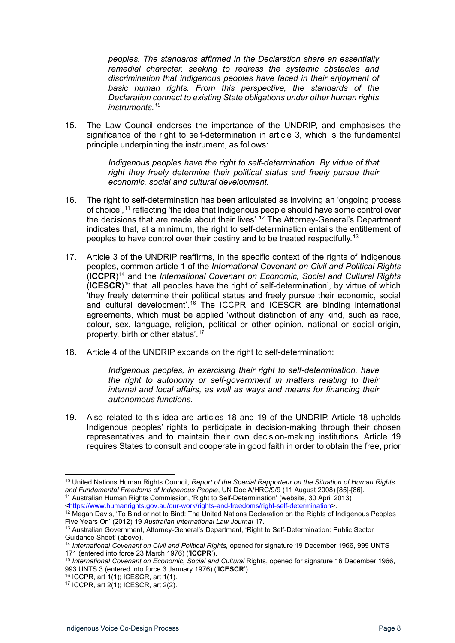*peoples. The standards affirmed in the Declaration share an essentially remedial character, seeking to redress the systemic obstacles and discrimination that indigenous peoples have faced in their enjoyment of basic human rights. From this perspective, the standards of the Declaration connect to existing State obligations under other human rights instruments.[10](#page-7-0)*

15. The Law Council endorses the importance of the UNDRIP, and emphasises the significance of the right to self-determination in article 3, which is the fundamental principle underpinning the instrument, as follows:

> *Indigenous peoples have the right to self-determination. By virtue of that right they freely determine their political status and freely pursue their economic, social and cultural development.*

- 16. The right to self-determination has been articulated as involving an 'ongoing process of choice', [11](#page-7-1) reflecting 'the idea that Indigenous people should have some control over the decisions that are made about their lives'.<sup>[12](#page-7-2)</sup> The Attorney-General's Department indicates that, at a minimum, the right to self-determination entails the entitlement of peoples to have control over their destiny and to be treated respectfully.[13](#page-7-3)
- 17. Article 3 of the UNDRIP reaffirms, in the specific context of the rights of indigenous peoples, common article 1 of the *International Covenant on Civil and Political Rights* (**ICCPR**)[14](#page-7-4) and the *International Covenant on Economic, Social and Cultural Rights* (**ICESCR**)[15](#page-7-5) that 'all peoples have the right of self-determination', by virtue of which 'they freely determine their political status and freely pursue their economic, social and cultural development<sup>'.[16](#page-7-6)</sup> The ICCPR and ICESCR are binding international agreements, which must be applied 'without distinction of any kind, such as race, colour, sex, language, religion, political or other opinion, national or social origin, property, birth or other status'.[17](#page-7-7)
- 18. Article 4 of the UNDRIP expands on the right to self-determination:

*Indigenous peoples, in exercising their right to self-determination, have the right to autonomy or self-government in matters relating to their internal and local affairs, as well as ways and means for financing their autonomous functions.* 

19. Also related to this idea are articles 18 and 19 of the UNDRIP. Article 18 upholds Indigenous peoples' rights to participate in decision-making through their chosen representatives and to maintain their own decision-making institutions. Article 19 requires States to consult and cooperate in good faith in order to obtain the free, prior

<span id="page-7-6"></span><sup>16</sup> ICCPR, art 1(1); ICESCR, art 1(1).

<span id="page-7-1"></span><span id="page-7-0"></span><sup>10</sup> United Nations Human Rights Council*, Report of the Special Rapporteur on the Situation of Human Rights and Fundamental Freedoms of Indigenous People*, UN Doc A/HRC/9/9 (11 August 2008) [85]-[86]. <sup>11</sup> Australian Human Rights Commission, 'Right to Self-Determination' (website, 30 April 2013) [<https://www.humanrights.gov.au/our-work/rights-and-freedoms/right-self-determination>](https://www.humanrights.gov.au/our-work/rights-and-freedoms/right-self-determination).

<span id="page-7-2"></span><sup>&</sup>lt;sup>12</sup> Megan Davis, 'To Bind or not to Bind: The United Nations Declaration on the Rights of Indigenous Peoples Five Years On' (2012) 19 *Australian International Law Journal* 17.

<span id="page-7-3"></span><sup>13</sup> Australian Government, Attorney-General's Department, 'Right to Self-Determination: Public Sector Guidance Sheet' (above).

<span id="page-7-4"></span><sup>&</sup>lt;sup>14</sup> International Covenant on Civil and Political Rights, opened for signature 19 December 1966, 999 UNTS 171 (entered into force 23 March 1976) ('**ICCPR**').

<span id="page-7-5"></span><sup>15</sup> International Covenant on Economic, Social and Cultural Rights, opened for signature 16 December 1966, 993 UNTS 3 (entered into force 3 January 1976) ('**ICESCR**').

<span id="page-7-7"></span><sup>17</sup> ICCPR, art 2(1); ICESCR, art 2(2).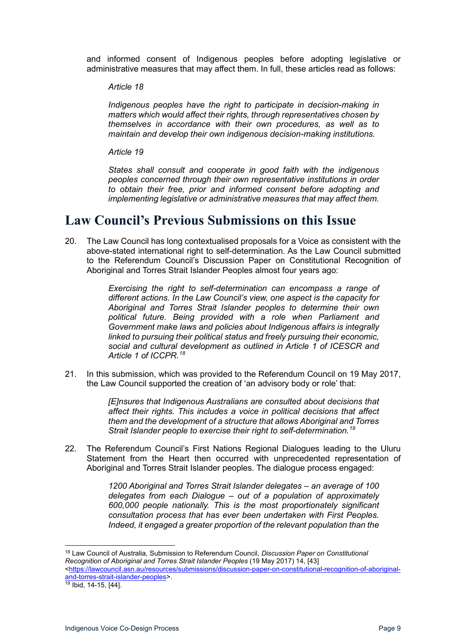and informed consent of Indigenous peoples before adopting legislative or administrative measures that may affect them. In full, these articles read as follows:

*Article 18* 

*Indigenous peoples have the right to participate in decision-making in matters which would affect their rights, through representatives chosen by themselves in accordance with their own procedures, as well as to maintain and develop their own indigenous decision-making institutions.* 

*Article 19* 

*States shall consult and cooperate in good faith with the indigenous peoples concerned through their own representative institutions in order to obtain their free, prior and informed consent before adopting and implementing legislative or administrative measures that may affect them.*

### <span id="page-8-0"></span>**Law Council's Previous Submissions on this Issue**

20. The Law Council has long contextualised proposals for a Voice as consistent with the above-stated international right to self-determination. As the Law Council submitted to the Referendum Council's Discussion Paper on Constitutional Recognition of Aboriginal and Torres Strait Islander Peoples almost four years ago:

> *Exercising the right to self-determination can encompass a range of different actions. In the Law Council's view, one aspect is the capacity for Aboriginal and Torres Strait Islander peoples to determine their own political future. Being provided with a role when Parliament and Government make laws and policies about Indigenous affairs is integrally linked to pursuing their political status and freely pursuing their economic, social and cultural development as outlined in Article 1 of ICESCR and Article 1 of ICCPR.[18](#page-8-1)*

21. In this submission, which was provided to the Referendum Council on 19 May 2017, the Law Council supported the creation of 'an advisory body or role' that:

> *[E]nsures that Indigenous Australians are consulted about decisions that affect their rights. This includes a voice in political decisions that affect them and the development of a structure that allows Aboriginal and Torres Strait Islander people to exercise their right to self-determination.[19](#page-8-2)*

22. The Referendum Council's First Nations Regional Dialogues leading to the Uluru Statement from the Heart then occurred with unprecedented representation of Aboriginal and Torres Strait Islander peoples. The dialogue process engaged:

> *1200 Aboriginal and Torres Strait Islander delegates – an average of 100 delegates from each Dialogue – out of a population of approximately 600,000 people nationally. This is the most proportionately significant consultation process that has ever been undertaken with First Peoples. Indeed, it engaged a greater proportion of the relevant population than the*

<span id="page-8-1"></span><sup>18</sup> Law Council of Australia, Submission to Referendum Council, *Discussion Paper on Constitutional Recognition of Aboriginal and Torres Strait Islander Peoples* (19 May 2017) 14, [43] [<https://lawcouncil.asn.au/resources/submissions/discussion-paper-on-constitutional-recognition-of-aboriginal-](https://lawcouncil.asn.au/resources/submissions/discussion-paper-on-constitutional-recognition-of-aboriginal-and-torres-strait-islander-peoples)

[and-torres-strait-islander-peoples>](https://lawcouncil.asn.au/resources/submissions/discussion-paper-on-constitutional-recognition-of-aboriginal-and-torres-strait-islander-peoples).

<span id="page-8-2"></span> $19$  Ibid, 14-15,  $[44]$ .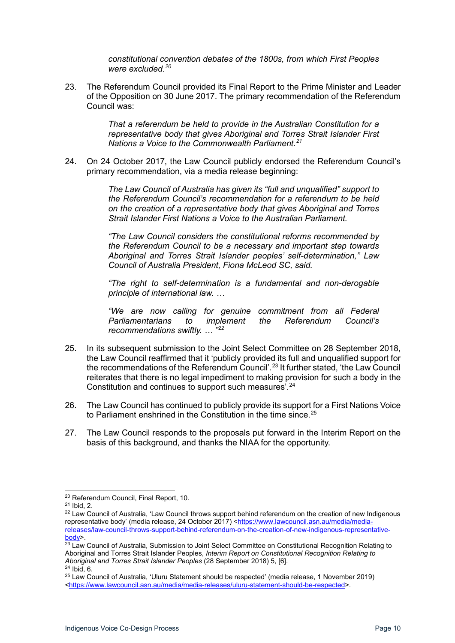*constitutional convention debates of the 1800s, from which First Peoples were excluded.[20](#page-9-0)*

23. The Referendum Council provided its Final Report to the Prime Minister and Leader of the Opposition on 30 June 2017. The primary recommendation of the Referendum Council was:

> *That a referendum be held to provide in the Australian Constitution for a representative body that gives Aboriginal and Torres Strait Islander First Nations a Voice to the Commonwealth Parliament.[21](#page-9-1)*

24. On 24 October 2017, the Law Council publicly endorsed the Referendum Council's primary recommendation, via a media release beginning:

> *The Law Council of Australia has given its "full and unqualified" support to the Referendum Council's recommendation for a referendum to be held on the creation of a representative body that gives Aboriginal and Torres Strait Islander First Nations a Voice to the Australian Parliament.*

> *"The Law Council considers the constitutional reforms recommended by the Referendum Council to be a necessary and important step towards Aboriginal and Torres Strait Islander peoples' self-determination," Law Council of Australia President, Fiona McLeod SC, said.*

> *"The right to self-determination is a fundamental and non-derogable principle of international law. …*

> *"We are now calling for genuine commitment from all Federal Parliamentarians to implement the Referendum Council's recommendations swiftly. … "[22](#page-9-2)*

- 25. In its subsequent submission to the Joint Select Committee on 28 September 2018, the Law Council reaffirmed that it 'publicly provided its full and unqualified support for the recommendations of the Referendum Council'.<sup>[23](#page-9-3)</sup> It further stated, 'the Law Council reiterates that there is no legal impediment to making provision for such a body in the Constitution and continues to support such measures'.<sup>[24](#page-9-4)</sup>
- 26. The Law Council has continued to publicly provide its support for a First Nations Voice to Parliament enshrined in the Constitution in the time since.<sup>[25](#page-9-5)</sup>
- 27. The Law Council responds to the proposals put forward in the Interim Report on the basis of this background, and thanks the NIAA for the opportunity.

<sup>20</sup> Referendum Council, Final Report, 10.

<span id="page-9-1"></span><span id="page-9-0"></span><sup>21</sup> Ibid, 2.

<span id="page-9-2"></span><sup>&</sup>lt;sup>22</sup> Law Council of Australia, 'Law Council throws support behind referendum on the creation of new Indigenous representative body' (media release, 24 October 2017) [<https://www.lawcouncil.asn.au/media/media](https://www.lawcouncil.asn.au/media/media-releases/law-council-throws-support-behind-referendum-on-the-creation-of-new-indigenous-representative-body)[releases/law-council-throws-support-behind-referendum-on-the-creation-of-new-indigenous-representative](https://www.lawcouncil.asn.au/media/media-releases/law-council-throws-support-behind-referendum-on-the-creation-of-new-indigenous-representative-body)[body>](https://www.lawcouncil.asn.au/media/media-releases/law-council-throws-support-behind-referendum-on-the-creation-of-new-indigenous-representative-body).

<span id="page-9-3"></span><sup>&</sup>lt;sup>23</sup> Law Council of Australia, Submission to Joint Select Committee on Constitutional Recognition Relating to Aboriginal and Torres Strait Islander Peoples, *Interim Report on Constitutional Recognition Relating to Aboriginal and Torres Strait Islander Peoples* (28 September 2018) 5, [6].

 $24$  Ibid, 6.

<span id="page-9-5"></span><span id="page-9-4"></span><sup>25</sup> Law Council of Australia, 'Uluru Statement should be respected' (media release, 1 November 2019) [<https://www.lawcouncil.asn.au/media/media-releases/uluru-statement-should-be-respected>](https://www.lawcouncil.asn.au/media/media-releases/uluru-statement-should-be-respected).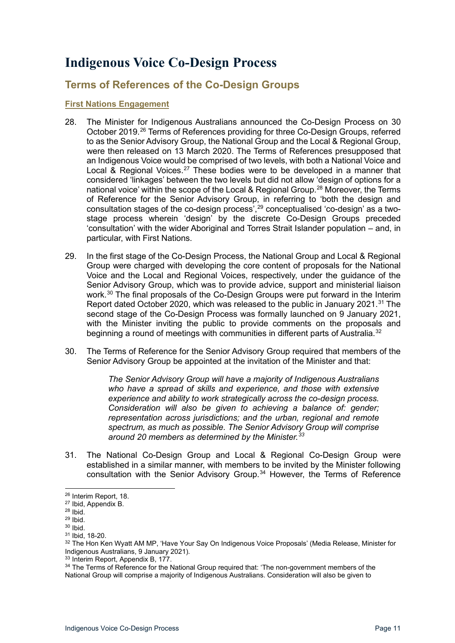# <span id="page-10-0"></span>**Indigenous Voice Co-Design Process**

### <span id="page-10-1"></span>**Terms of References of the Co-Design Groups**

#### <span id="page-10-2"></span>**First Nations Engagement**

- 28. The Minister for Indigenous Australians announced the Co-Design Process on 30 October 2019.[26](#page-10-3) Terms of References providing for three Co-Design Groups, referred to as the Senior Advisory Group, the National Group and the Local & Regional Group, were then released on 13 March 2020. The Terms of References presupposed that an Indigenous Voice would be comprised of two levels, with both a National Voice and Local & Regional Voices.<sup>[27](#page-10-4)</sup> These bodies were to be developed in a manner that considered 'linkages' between the two levels but did not allow 'design of options for a national voice' within the scope of the Local & Regional Group. [28](#page-10-5) Moreover, the Terms of Reference for the Senior Advisory Group, in referring to 'both the design and consultation stages of the co-design process', [29](#page-10-6) conceptualised 'co-design' as a twostage process wherein 'design' by the discrete Co-Design Groups preceded 'consultation' with the wider Aboriginal and Torres Strait Islander population – and, in particular, with First Nations.
- 29. In the first stage of the Co-Design Process, the National Group and Local & Regional Group were charged with developing the core content of proposals for the National Voice and the Local and Regional Voices, respectively, under the guidance of the Senior Advisory Group, which was to provide advice, support and ministerial liaison work. [30](#page-10-7) The final proposals of the Co-Design Groups were put forward in the Interim Report dated October 2020, which was released to the public in January 2021. [31](#page-10-8) The second stage of the Co-Design Process was formally launched on 9 January 2021, with the Minister inviting the public to provide comments on the proposals and beginning a round of meetings with communities in different parts of Australia.<sup>[32](#page-10-9)</sup>
- 30. The Terms of Reference for the Senior Advisory Group required that members of the Senior Advisory Group be appointed at the invitation of the Minister and that:

*The Senior Advisory Group will have a majority of Indigenous Australians who have a spread of skills and experience, and those with extensive experience and ability to work strategically across the co-design process. Consideration will also be given to achieving a balance of: gender; representation across jurisdictions; and the urban, regional and remote spectrum, as much as possible. The Senior Advisory Group will comprise around 20 members as determined by the Minister.[33](#page-10-10)*

31. The National Co-Design Group and Local & Regional Co-Design Group were established in a similar manner, with members to be invited by the Minister following consultation with the Senior Advisory Group.<sup>[34](#page-10-11)</sup> However, the Terms of Reference

<sup>26</sup> Interim Report, 18.

<span id="page-10-4"></span><span id="page-10-3"></span><sup>27</sup> Ibid, Appendix B.

<span id="page-10-5"></span><sup>28</sup> Ibid.

<span id="page-10-6"></span> $29$  Ibid.  $30$  Ibid.

<span id="page-10-8"></span><span id="page-10-7"></span><sup>31</sup> Ibid, 18-20.

<span id="page-10-9"></span><sup>32</sup> The Hon Ken Wyatt AM MP, 'Have Your Say On Indigenous Voice Proposals' (Media Release, Minister for Indigenous Australians, 9 January 2021).

<span id="page-10-10"></span><sup>&</sup>lt;sup>33</sup> Interim Report, Appendix B, 177.

<span id="page-10-11"></span><sup>&</sup>lt;sup>34</sup> The Terms of Reference for the National Group required that: 'The non-government members of the National Group will comprise a majority of Indigenous Australians. Consideration will also be given to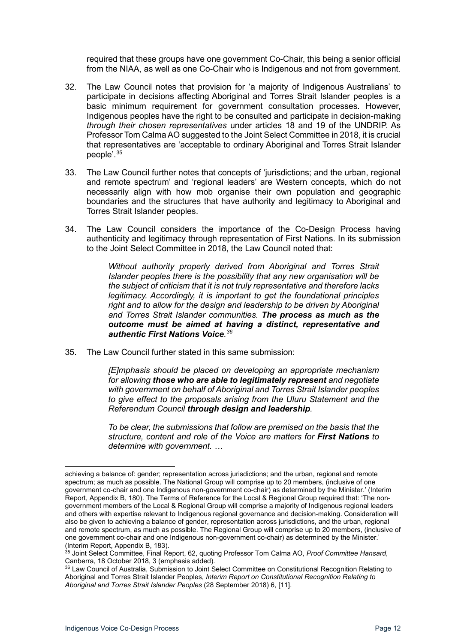required that these groups have one government Co-Chair, this being a senior official from the NIAA, as well as one Co-Chair who is Indigenous and not from government.

- 32. The Law Council notes that provision for 'a majority of Indigenous Australians' to participate in decisions affecting Aboriginal and Torres Strait Islander peoples is a basic minimum requirement for government consultation processes. However, Indigenous peoples have the right to be consulted and participate in decision-making *through their chosen representatives* under articles 18 and 19 of the UNDRIP. As Professor Tom Calma AO suggested to the Joint Select Committee in 2018, it is crucial that representatives are 'acceptable to ordinary Aboriginal and Torres Strait Islander people'.[35](#page-11-0)
- 33. The Law Council further notes that concepts of 'jurisdictions; and the urban, regional and remote spectrum' and 'regional leaders' are Western concepts, which do not necessarily align with how mob organise their own population and geographic boundaries and the structures that have authority and legitimacy to Aboriginal and Torres Strait Islander peoples.
- 34. The Law Council considers the importance of the Co-Design Process having authenticity and legitimacy through representation of First Nations. In its submission to the Joint Select Committee in 2018, the Law Council noted that:

*Without authority properly derived from Aboriginal and Torres Strait Islander peoples there is the possibility that any new organisation will be the subject of criticism that it is not truly representative and therefore lacks legitimacy. Accordingly, it is important to get the foundational principles right and to allow for the design and leadership to be driven by Aboriginal and Torres Strait Islander communities. The process as much as the outcome must be aimed at having a distinct, representative and authentic First Nations Voice. [36](#page-11-1)*

35. The Law Council further stated in this same submission:

*[E]mphasis should be placed on developing an appropriate mechanism for allowing those who are able to legitimately represent and negotiate with government on behalf of Aboriginal and Torres Strait Islander peoples to give effect to the proposals arising from the Uluru Statement and the Referendum Council through design and leadership.* 

*To be clear, the submissions that follow are premised on the basis that the structure, content and role of the Voice are matters for First Nations to determine with government. …*

achieving a balance of: gender; representation across jurisdictions; and the urban, regional and remote spectrum; as much as possible. The National Group will comprise up to 20 members, (inclusive of one government co-chair and one Indigenous non-government co-chair) as determined by the Minister.' (Interim Report, Appendix B, 180). The Terms of Reference for the Local & Regional Group required that: 'The nongovernment members of the Local & Regional Group will comprise a majority of Indigenous regional leaders and others with expertise relevant to Indigenous regional governance and decision-making. Consideration will also be given to achieving a balance of gender, representation across jurisdictions, and the urban, regional and remote spectrum, as much as possible. The Regional Group will comprise up to 20 members, (inclusive of one government co-chair and one Indigenous non-government co-chair) as determined by the Minister.' (Interim Report, Appendix B, 183).

<span id="page-11-0"></span> $^{35}$  Joint Select Committee, Final Report, 62, quoting Professor Tom Calma AO, *Proof Committee Hansard*, Canberra, 18 October 2018, 3 (emphasis added).

<span id="page-11-1"></span><sup>&</sup>lt;sup>36</sup> Law Council of Australia, Submission to Joint Select Committee on Constitutional Recognition Relating to Aboriginal and Torres Strait Islander Peoples, *Interim Report on Constitutional Recognition Relating to Aboriginal and Torres Strait Islander Peoples* (28 September 2018) 6, [11].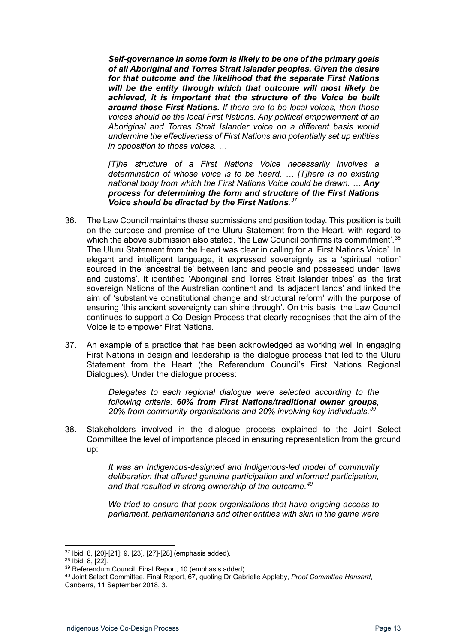*Self-governance in some form is likely to be one of the primary goals of all Aboriginal and Torres Strait Islander peoples. Given the desire for that outcome and the likelihood that the separate First Nations will be the entity through which that outcome will most likely be achieved, it is important that the structure of the Voice be built around those First Nations. If there are to be local voices, then those voices should be the local First Nations. Any political empowerment of an Aboriginal and Torres Strait Islander voice on a different basis would undermine the effectiveness of First Nations and potentially set up entities in opposition to those voices. …*

*[T]he structure of a First Nations Voice necessarily involves a determination of whose voice is to be heard. … [T]here is no existing national body from which the First Nations Voice could be drawn. … Any process for determining the form and structure of the First Nations Voice should be directed by the First Nations. [37](#page-12-0)*

- 36. The Law Council maintains these submissions and position today. This position is built on the purpose and premise of the Uluru Statement from the Heart, with regard to which the above submission also stated, 'the Law Council confirms its commitment'.<sup>[38](#page-12-1)</sup> The Uluru Statement from the Heart was clear in calling for a 'First Nations Voice'. In elegant and intelligent language, it expressed sovereignty as a 'spiritual notion' sourced in the 'ancestral tie' between land and people and possessed under 'laws and customs'. It identified 'Aboriginal and Torres Strait Islander tribes' as 'the first sovereign Nations of the Australian continent and its adjacent lands' and linked the aim of 'substantive constitutional change and structural reform' with the purpose of ensuring 'this ancient sovereignty can shine through'. On this basis, the Law Council continues to support a Co-Design Process that clearly recognises that the aim of the Voice is to empower First Nations.
- 37. An example of a practice that has been acknowledged as working well in engaging First Nations in design and leadership is the dialogue process that led to the Uluru Statement from the Heart (the Referendum Council's First Nations Regional Dialogues). Under the dialogue process:

*Delegates to each regional dialogue were selected according to the following criteria: 60% from First Nations/traditional owner groups, 20% from community organisations and 20% involving key individuals.[39](#page-12-2)*

38. Stakeholders involved in the dialogue process explained to the Joint Select Committee the level of importance placed in ensuring representation from the ground up:

> *It was an Indigenous-designed and Indigenous-led model of community deliberation that offered genuine participation and informed participation, and that resulted in strong ownership of the outcome.[40](#page-12-3)*

> *We tried to ensure that peak organisations that have ongoing access to parliament, parliamentarians and other entities with skin in the game were*

<span id="page-12-0"></span><sup>37</sup> Ibid, 8, [20]-[21]; 9, [23], [27]-[28] (emphasis added).

<span id="page-12-1"></span><sup>38</sup> Ibid, 8, [22].

<span id="page-12-2"></span><sup>39</sup> Referendum Council, Final Report, 10 (emphasis added).

<span id="page-12-3"></span><sup>40</sup> Joint Select Committee, Final Report, 67, quoting Dr Gabrielle Appleby, *Proof Committee Hansard*, Canberra, 11 September 2018, 3.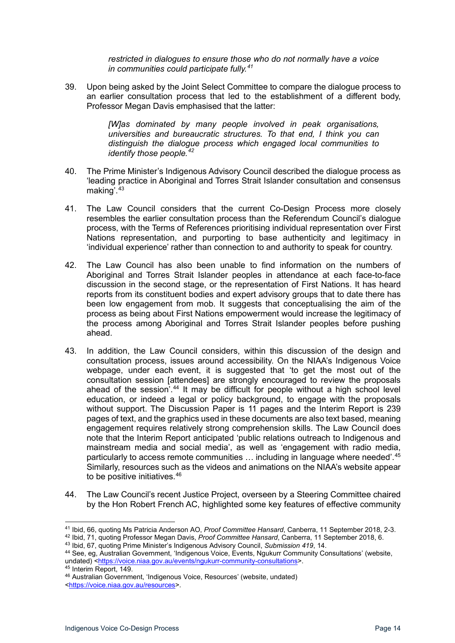*restricted in dialogues to ensure those who do not normally have a voice in communities could participate fully.[41](#page-13-0)*

39. Upon being asked by the Joint Select Committee to compare the dialogue process to an earlier consultation process that led to the establishment of a different body, Professor Megan Davis emphasised that the latter:

> *[W]as dominated by many people involved in peak organisations, universities and bureaucratic structures. To that end, I think you can distinguish the dialogue process which engaged local communities to identify those people.[42](#page-13-1)*

- 40. The Prime Minister's Indigenous Advisory Council described the dialogue process as 'leading practice in Aboriginal and Torres Strait Islander consultation and consensus making'.<sup>[43](#page-13-2)</sup>
- 41. The Law Council considers that the current Co-Design Process more closely resembles the earlier consultation process than the Referendum Council's dialogue process, with the Terms of References prioritising individual representation over First Nations representation, and purporting to base authenticity and legitimacy in 'individual experience' rather than connection to and authority to speak for country.
- 42. The Law Council has also been unable to find information on the numbers of Aboriginal and Torres Strait Islander peoples in attendance at each face-to-face discussion in the second stage, or the representation of First Nations. It has heard reports from its constituent bodies and expert advisory groups that to date there has been low engagement from mob. It suggests that conceptualising the aim of the process as being about First Nations empowerment would increase the legitimacy of the process among Aboriginal and Torres Strait Islander peoples before pushing ahead.
- 43. In addition, the Law Council considers, within this discussion of the design and consultation process, issues around accessibility. On the NIAA's Indigenous Voice webpage, under each event, it is suggested that 'to get the most out of the consultation session [attendees] are strongly encouraged to review the proposals ahead of the session'.<sup>[44](#page-13-3)</sup> It may be difficult for people without a high school level education, or indeed a legal or policy background, to engage with the proposals without support. The Discussion Paper is 11 pages and the Interim Report is 239 pages of text, and the graphics used in these documents are also text based, meaning engagement requires relatively strong comprehension skills. The Law Council does note that the Interim Report anticipated 'public relations outreach to Indigenous and mainstream media and social media', as well as 'engagement with radio media, particularly to access remote communities … including in language where needed'. [45](#page-13-4) Similarly, resources such as the videos and animations on the NIAA's website appear to be positive initiatives. [46](#page-13-5)
- 44. The Law Council's recent Justice Project, overseen by a Steering Committee chaired by the Hon Robert French AC, highlighted some key features of effective community

45 Interim Report, 149.

<span id="page-13-0"></span><sup>41</sup> Ibid, 66, quoting Ms Patricia Anderson AO, *Proof Committee Hansard*, Canberra, 11 September 2018, 2-3.

<span id="page-13-1"></span><sup>42</sup> Ibid, 71, quoting Professor Megan Davis, *Proof Committee Hansard*, Canberra, 11 September 2018, 6.

<span id="page-13-2"></span><sup>43</sup> Ibid, 67, quoting Prime Minister's Indigenous Advisory Council, *Submission 419*, 14.

<span id="page-13-3"></span><sup>44</sup> See, eg, Australian Government, 'Indigenous Voice, Events, Ngukurr Community Consultations' (website, undated) [<https://voice.niaa.gov.au/events/ngukurr-community-consultations>](https://voice.niaa.gov.au/events/ngukurr-community-consultations).

<span id="page-13-5"></span><span id="page-13-4"></span><sup>46</sup> Australian Government, 'Indigenous Voice, Resources' (website, undated)

[<sup>&</sup>lt;https://voice.niaa.gov.au/resources>](https://voice.niaa.gov.au/resources).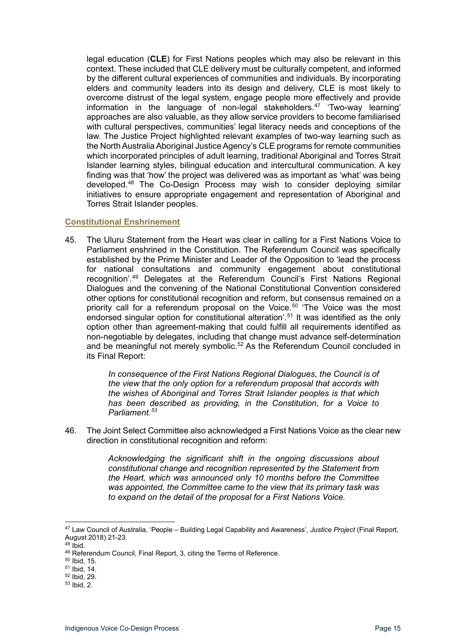legal education (**CLE**) for First Nations peoples which may also be relevant in this context. These included that CLE delivery must be culturally competent, and informed by the different cultural experiences of communities and individuals. By incorporating elders and community leaders into its design and delivery, CLE is most likely to overcome distrust of the legal system, engage people more effectively and provide information in the language of non-legal stakeholders.[47](#page-14-1) 'Two-way learning' approaches are also valuable, as they allow service providers to become familiarised with cultural perspectives, communities' legal literacy needs and conceptions of the law. The Justice Project highlighted relevant examples of two-way learning such as the North Australia Aboriginal Justice Agency's CLE programs for remote communities which incorporated principles of adult learning, traditional Aboriginal and Torres Strait Islander learning styles, bilingual education and intercultural communication. A key finding was that 'how' the project was delivered was as important as 'what' was being developed.[48](#page-14-2) The Co-Design Process may wish to consider deploying similar initiatives to ensure appropriate engagement and representation of Aboriginal and Torres Strait Islander peoples.

#### <span id="page-14-0"></span>**Constitutional Enshrinement**

45. The Uluru Statement from the Heart was clear in calling for a First Nations Voice to Parliament enshrined in the Constitution. The Referendum Council was specifically established by the Prime Minister and Leader of the Opposition to 'lead the process for national consultations and community engagement about constitutional recognition'. [49](#page-14-3) Delegates at the Referendum Council's First Nations Regional Dialogues and the convening of the National Constitutional Convention considered other options for constitutional recognition and reform, but consensus remained on a priority call for a referendum proposal on the Voice.<sup>[50](#page-14-4)</sup> 'The Voice was the most endorsed singular option for constitutional alteration'.[51](#page-14-5) It was identified as the only option other than agreement-making that could fulfill all requirements identified as non-negotiable by delegates, including that change must advance self-determination and be meaningful not merely symbolic. [52](#page-14-6) As the Referendum Council concluded in its Final Report:

> *In consequence of the First Nations Regional Dialogues, the Council is of the view that the only option for a referendum proposal that accords with the wishes of Aboriginal and Torres Strait Islander peoples is that which has been described as providing, in the Constitution, for a Voice to Parliament.[53](#page-14-7)*

46. The Joint Select Committee also acknowledged a First Nations Voice as the clear new direction in constitutional recognition and reform:

> *Acknowledging the significant shift in the ongoing discussions about constitutional change and recognition represented by the Statement from the Heart, which was announced only 10 months before the Committee was appointed, the Committee came to the view that its primary task was to expand on the detail of the proposal for a First Nations Voice.*

<span id="page-14-1"></span><sup>47</sup> Law Council of Australia, 'People – Building Legal Capability and Awareness', *Justice Project* (Final Report, August 2018) 21-23.

<span id="page-14-2"></span> $48$  Ibid.

<span id="page-14-3"></span><sup>49</sup> Referendum Council, Final Report, 3, citing the Terms of Reference.

<span id="page-14-4"></span><sup>50</sup> Ibid, 15.

<sup>51</sup> Ibid, 14.

<span id="page-14-6"></span><span id="page-14-5"></span><sup>52</sup> Ibid, 29.

<span id="page-14-7"></span><sup>53</sup> Ibid, 2.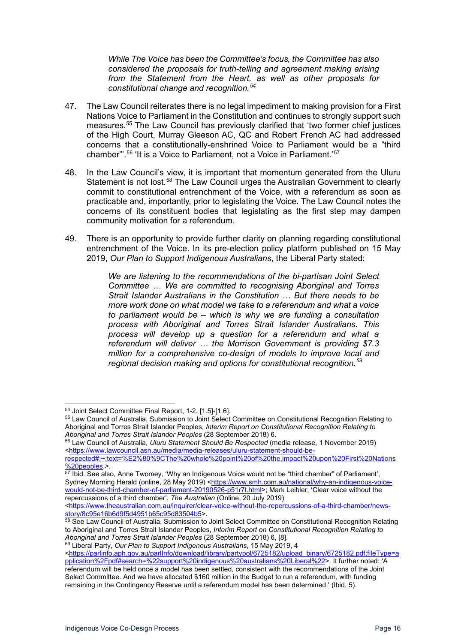*While The Voice has been the Committee's focus, the Committee has also considered the proposals for truth-telling and agreement making arising from the Statement from the Heart, as well as other proposals for constitutional change and recognition.[54](#page-15-0)*

- 47. The Law Council reiterates there is no legal impediment to making provision for a First Nations Voice to Parliament in the Constitution and continues to strongly support such measures.[55](#page-15-1) The Law Council has previously clarified that 'two former chief justices of the High Court, Murray Gleeson AC, QC and Robert French AC had addressed concerns that a constitutionally-enshrined Voice to Parliament would be a "third chamber"'.<sup>[56](#page-15-2)</sup> 'It is a Voice to Parliament, not a Voice in Parliament.'<sup>[57](#page-15-3)</sup>
- 48. In the Law Council's view, it is important that momentum generated from the Uluru Statement is not lost.[58](#page-15-4) The Law Council urges the Australian Government to clearly commit to constitutional entrenchment of the Voice, with a referendum as soon as practicable and, importantly, prior to legislating the Voice. The Law Council notes the concerns of its constituent bodies that legislating as the first step may dampen community motivation for a referendum.
- 49. There is an opportunity to provide further clarity on planning regarding constitutional entrenchment of the Voice. In its pre-election policy platform published on 15 May 2019, *Our Plan to Support Indigenous Australians*, the Liberal Party stated:

*We are listening to the recommendations of the bi-partisan Joint Select Committee … We are committed to recognising Aboriginal and Torres Strait Islander Australians in the Constitution … But there needs to be more work done on what model we take to a referendum and what a voice to parliament would be – which is why we are funding a consultation process with Aboriginal and Torres Strait Islander Australians. This process will develop up a question for a referendum and what a referendum will deliver … the Morrison Government is providing \$7.3 million for a comprehensive co-design of models to improve local and regional decision making and options for constitutional recognition.[59](#page-15-5)*

<span id="page-15-0"></span><sup>54</sup> Joint Select Committee Final Report, 1-2, [1.5]-[1.6].

<span id="page-15-1"></span><sup>55</sup> Law Council of Australia, Submission to Joint Select Committee on Constitutional Recognition Relating to Aboriginal and Torres Strait Islander Peoples, *Interim Report on Constitutional Recognition Relating to Aboriginal and Torres Strait Islander Peoples* (28 September 2018) 6.

<span id="page-15-2"></span><sup>56</sup> Law Council of Australia, *Uluru Statement Should Be Respected* (media release, 1 November 2019) [<https://www.lawcouncil.asn.au/media/media-releases/uluru-statement-should-be-](https://www.lawcouncil.asn.au/media/media-releases/uluru-statement-should-be-respected#:%7E:text=%E2%80%9CThe%20whole%20point%20of%20the,impact%20upon%20First%20Nations%20peoples)

[respected#:~:text=%E2%80%9CThe%20whole%20point%20of%20the,impact%20upon%20First%20Nations](https://www.lawcouncil.asn.au/media/media-releases/uluru-statement-should-be-respected#:%7E:text=%E2%80%9CThe%20whole%20point%20of%20the,impact%20upon%20First%20Nations%20peoples)  $\overline{\%20}$ peoples.>.

<span id="page-15-3"></span><sup>&</sup>lt;sup>57</sup> Ibid. See also, Anne Twomey, 'Why an Indigenous Voice would not be "third chamber" of Parliament', Sydney Morning Herald (online, 28 May 2019) [<https://www.smh.com.au/national/why-an-indigenous-voice](https://www.smh.com.au/national/why-an-indigenous-voice-would-not-be-third-chamber-of-parliament-20190526-p51r7t.html)[would-not-be-third-chamber-of-parliament-20190526-p51r7t.html>](https://www.smh.com.au/national/why-an-indigenous-voice-would-not-be-third-chamber-of-parliament-20190526-p51r7t.html); Mark Leibler, 'Clear voice without the repercussions of a third chamber', *The Australian* (Online, 20 July 2019)

[<sup>&</sup>lt;https://www.theaustralian.com.au/inquirer/clear-voice-without-the-repercussions-of-a-third-chamber/news](https://www.theaustralian.com.au/inquirer/clear-voice-without-the-repercussions-of-a-third-chamber/news-story/8c95e16b6d9f5d4951b65c95d83504b5)[story/8c95e16b6d9f5d4951b65c95d83504b5>](https://www.theaustralian.com.au/inquirer/clear-voice-without-the-repercussions-of-a-third-chamber/news-story/8c95e16b6d9f5d4951b65c95d83504b5).

<span id="page-15-4"></span><sup>&</sup>lt;sup>58</sup> See Law Council of Australia, Submission to Joint Select Committee on Constitutional Recognition Relating to Aboriginal and Torres Strait Islander Peoples, *Interim Report on Constitutional Recognition Relating to Aboriginal and Torres Strait Islander Peoples* (28 September 2018) 6, [8].

<span id="page-15-5"></span><sup>59</sup> Liberal Party, *Our Plan to Support Indigenous Australians*, 15 May 2019, 4 <u>[<https://parlinfo.aph.gov.au/parlInfo/download/library/partypol/6725182/upload\\_binary/6725182.pdf;fileType=a](https://parlinfo.aph.gov.au/parlInfo/download/library/partypol/6725182/upload_binary/6725182.pdf;fileType=application%2Fpdf#search=%22support%20indigenous%20australians%20Liberal%22)</u> [pplication%2Fpdf#search=%22support%20indigenous%20australians%20Liberal%22>](https://parlinfo.aph.gov.au/parlInfo/download/library/partypol/6725182/upload_binary/6725182.pdf;fileType=application%2Fpdf#search=%22support%20indigenous%20australians%20Liberal%22). It further noted: 'A referendum will be held once a model has been settled, consistent with the recommendations of the Joint Select Committee. And we have allocated \$160 million in the Budget to run a referendum, with funding remaining in the Contingency Reserve until a referendum model has been determined.' (Ibid, 5).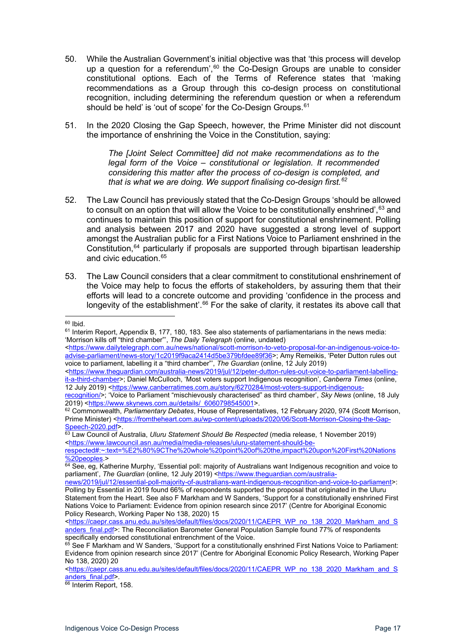- 50. While the Australian Government's initial objective was that 'this process will develop up a question for a referendum', $60$  the Co-Design Groups are unable to consider constitutional options. Each of the Terms of Reference states that 'making recommendations as a Group through this co-design process on constitutional recognition, including determining the referendum question or when a referendum should be held' is 'out of scope' for the Co-Design Groups.<sup>[61](#page-16-1)</sup>
- 51. In the 2020 Closing the Gap Speech, however, the Prime Minister did not discount the importance of enshrining the Voice in the Constitution, saying:

*The [Joint Select Committee] did not make recommendations as to the legal form of the Voice – constitutional or legislation. It recommended considering this matter after the process of co-design is completed, and that is what we are doing. We support finalising co-design first.[62](#page-16-2)*

- 52. The Law Council has previously stated that the Co-Design Groups 'should be allowed to consult on an option that will allow the Voice to be constitutionally enshrined', [63](#page-16-3) and continues to maintain this position of support for constitutional enshrinement. Polling and analysis between 2017 and 2020 have suggested a strong level of support amongst the Australian public for a First Nations Voice to Parliament enshrined in the Constitution,[64](#page-16-4) particularly if proposals are supported through bipartisan leadership and civic education  $65$
- 53. The Law Council considers that a clear commitment to constitutional enshrinement of the Voice may help to focus the efforts of stakeholders, by assuring them that their efforts will lead to a concrete outcome and providing 'confidence in the process and longevity of the establishment'.<sup>[66](#page-16-6)</sup> For the sake of clarity, it restates its above call that

<span id="page-16-0"></span><sup>60</sup> Ibid.

<span id="page-16-1"></span><sup>61</sup> Interim Report, Appendix B, 177, 180, 183. See also statements of parliamentarians in the news media: 'Morrison kills off "third chamber"', *The Daily Telegraph* (online, undated)

[<sup>&</sup>lt;https://www.dailytelegraph.com.au/news/national/scott-morrison-to-veto-proposal-for-an-indigenous-voice-to](https://www.dailytelegraph.com.au/news/national/scott-morrison-to-veto-proposal-for-an-indigenous-voice-to-advise-parliament/news-story/1c2019f9aca2414d5be379bfdee89f36)[advise-parliament/news-story/1c2019f9aca2414d5be379bfdee89f36>](https://www.dailytelegraph.com.au/news/national/scott-morrison-to-veto-proposal-for-an-indigenous-voice-to-advise-parliament/news-story/1c2019f9aca2414d5be379bfdee89f36); Amy Remeikis, 'Peter Dutton rules out voice to parliament, labelling it a "third chamber"', *The Guardian* (online, 12 July 2019)

[<sup>&</sup>lt;https://www.theguardian.com/australia-news/2019/jul/12/peter-dutton-rules-out-voice-to-parliament-labelling](https://www.theguardian.com/australia-news/2019/jul/12/peter-dutton-rules-out-voice-to-parliament-labelling-it-a-third-chamber)[it-a-third-chamber>](https://www.theguardian.com/australia-news/2019/jul/12/peter-dutton-rules-out-voice-to-parliament-labelling-it-a-third-chamber); Daniel McCulloch, 'Most voters support Indigenous recognition', *Canberra Times* (online, 12 July 2019) [<https://www.canberratimes.com.au/story/6270284/most-voters-support-indigenous-](https://www.canberratimes.com.au/story/6270284/most-voters-support-indigenous-recognition/)

[recognition/>](https://www.canberratimes.com.au/story/6270284/most-voters-support-indigenous-recognition/); 'Voice to Parliament "mischievously characterised" as third chamber', *Sky News* (online, 18 July 2019) [<https://www.skynews.com.au/details/\\_6060798545001>](https://www.skynews.com.au/details/_6060798545001).

<span id="page-16-2"></span><sup>62</sup> Commonwealth, *Parliamentary Debates*, House of Representatives, 12 February 2020, 974 (Scott Morrison, Prime Minister) [<https://fromtheheart.com.au/wp-content/uploads/2020/06/Scott-Morrison-Closing-the-Gap-](https://fromtheheart.com.au/wp-content/uploads/2020/06/Scott-Morrison-Closing-the-Gap-Speech-2020.pdf)[Speech-2020.pdf>](https://fromtheheart.com.au/wp-content/uploads/2020/06/Scott-Morrison-Closing-the-Gap-Speech-2020.pdf).

<span id="page-16-3"></span><sup>63</sup> Law Council of Australia, *Uluru Statement Should Be Respected* (media release, 1 November 2019) [<https://www.lawcouncil.asn.au/media/media-releases/uluru-statement-should-be-](https://www.lawcouncil.asn.au/media/media-releases/uluru-statement-should-be-respected#:%7E:text=%E2%80%9CThe%20whole%20point%20of%20the,impact%20upon%20First%20Nations%20peoples)

[respected#:~:text=%E2%80%9CThe%20whole%20point%20of%20the,impact%20upon%20First%20Nations](https://www.lawcouncil.asn.au/media/media-releases/uluru-statement-should-be-respected#:%7E:text=%E2%80%9CThe%20whole%20point%20of%20the,impact%20upon%20First%20Nations%20peoples) [%20peoples.](https://www.lawcouncil.asn.au/media/media-releases/uluru-statement-should-be-respected#:%7E:text=%E2%80%9CThe%20whole%20point%20of%20the,impact%20upon%20First%20Nations%20peoples)>

<span id="page-16-4"></span><sup>64</sup> See, eg, Katherine Murphy, 'Essential poll: majority of Australians want Indigenous recognition and voice to parliament', *The Guardian* (online, 12 July 2019) [<https://www.theguardian.com/australia-](https://www.theguardian.com/australia-news/2019/jul/12/essential-poll-majority-of-australians-want-indigenous-recognition-and-voice-to-parliament)

[news/2019/jul/12/essential-poll-majority-of-australians-want-indigenous-recognition-and-voice-to-parliament>](https://www.theguardian.com/australia-news/2019/jul/12/essential-poll-majority-of-australians-want-indigenous-recognition-and-voice-to-parliament): Polling by Essential in 2019 found 66% of respondents supported the proposal that originated in the Uluru

Statement from the Heart. See also F Markham and W Sanders, 'Support for a constitutionally enshrined First Nations Voice to Parliament: Evidence from opinion research since 2017' (Centre for Aboriginal Economic Policy Research, Working Paper No 138, 2020) 15

[<sup>&</sup>lt;https://caepr.cass.anu.edu.au/sites/default/files/docs/2020/11/CAEPR\\_WP\\_no\\_138\\_2020\\_Markham\\_and\\_S](https://caepr.cass.anu.edu.au/sites/default/files/docs/2020/11/CAEPR_WP_no_138_2020_Markham_and_Sanders_final.pdf) [anders\\_final.pdf>](https://caepr.cass.anu.edu.au/sites/default/files/docs/2020/11/CAEPR_WP_no_138_2020_Markham_and_Sanders_final.pdf): The Reconciliation Barometer General Population Sample found 77% of respondents specifically endorsed constitutional entrenchment of the Voice.

<span id="page-16-5"></span><sup>65</sup> See F Markham and W Sanders, 'Support for a constitutionally enshrined First Nations Voice to Parliament: Evidence from opinion research since 2017' (Centre for Aboriginal Economic Policy Research, Working Paper No 138, 2020) 20

[<sup>&</sup>lt;https://caepr.cass.anu.edu.au/sites/default/files/docs/2020/11/CAEPR\\_WP\\_no\\_138\\_2020\\_Markham\\_and\\_S](https://caepr.cass.anu.edu.au/sites/default/files/docs/2020/11/CAEPR_WP_no_138_2020_Markham_and_Sanders_final.pdf) [anders\\_final.pdf>](https://caepr.cass.anu.edu.au/sites/default/files/docs/2020/11/CAEPR_WP_no_138_2020_Markham_and_Sanders_final.pdf).

<span id="page-16-6"></span><sup>&</sup>lt;sup>66</sup> Interim Report, 158.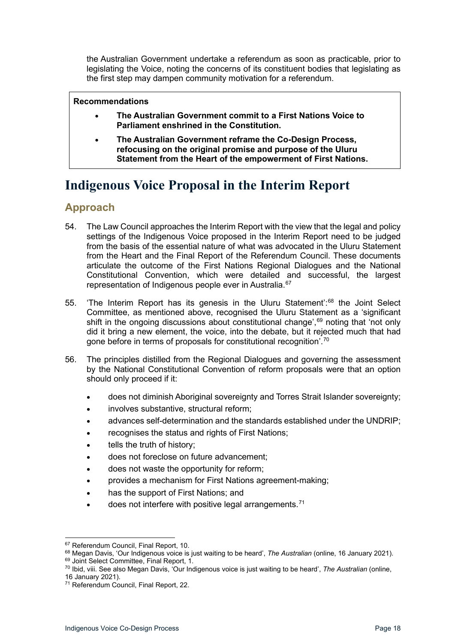the Australian Government undertake a referendum as soon as practicable, prior to legislating the Voice, noting the concerns of its constituent bodies that legislating as the first step may dampen community motivation for a referendum.

#### **Recommendations**

- **The Australian Government commit to a First Nations Voice to Parliament enshrined in the Constitution.**
- **The Australian Government reframe the Co-Design Process, refocusing on the original promise and purpose of the Uluru Statement from the Heart of the empowerment of First Nations.**

# <span id="page-17-0"></span>**Indigenous Voice Proposal in the Interim Report**

### <span id="page-17-1"></span>**Approach**

- 54. The Law Council approaches the Interim Report with the view that the legal and policy settings of the Indigenous Voice proposed in the Interim Report need to be judged from the basis of the essential nature of what was advocated in the Uluru Statement from the Heart and the Final Report of the Referendum Council. These documents articulate the outcome of the First Nations Regional Dialogues and the National Constitutional Convention, which were detailed and successful, the largest representation of Indigenous people ever in Australia. [67](#page-17-2)
- 55. 'The Interim Report has its genesis in the Uluru Statement': [68](#page-17-3) the Joint Select Committee, as mentioned above, recognised the Uluru Statement as a 'significant shift in the ongoing discussions about constitutional change', [69](#page-17-4) noting that 'not only did it bring a new element, the voice, into the debate, but it rejected much that had gone before in terms of proposals for constitutional recognition<sup>'.[70](#page-17-5)</sup>
- 56. The principles distilled from the Regional Dialogues and governing the assessment by the National Constitutional Convention of reform proposals were that an option should only proceed if it:
	- does not diminish Aboriginal sovereignty and Torres Strait Islander sovereignty;
	- involves substantive, structural reform;
	- advances self-determination and the standards established under the UNDRIP;
	- recognises the status and rights of First Nations;
	- tells the truth of history;
	- does not foreclose on future advancement;
	- does not waste the opportunity for reform;
	- provides a mechanism for First Nations agreement-making;
	- has the support of First Nations; and
	- does not interfere with positive legal arrangements.<sup>[71](#page-17-6)</sup>

<span id="page-17-2"></span><sup>67</sup> Referendum Council, Final Report, 10.

<span id="page-17-3"></span><sup>68</sup> Megan Davis, 'Our Indigenous voice is just waiting to be heard', *The Australian* (online, 16 January 2021).

<span id="page-17-5"></span><span id="page-17-4"></span><sup>69</sup> Joint Select Committee, Final Report, 1. <sup>70</sup> Ibid, viii. See also Megan Davis, 'Our Indigenous voice is just waiting to be heard', *The Australian* (online,

<sup>16</sup> January 2021).

<span id="page-17-6"></span><sup>71</sup> Referendum Council, Final Report, 22.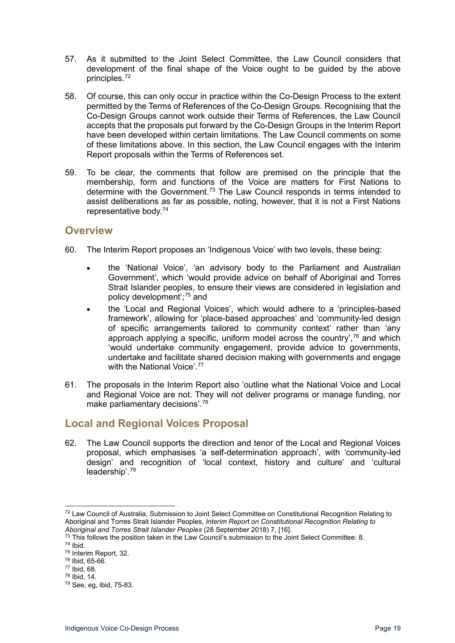- 57. As it submitted to the Joint Select Committee, the Law Council considers that development of the final shape of the Voice ought to be guided by the above principles.[72](#page-18-2)
- 58. Of course, this can only occur in practice within the Co-Design Process to the extent permitted by the Terms of References of the Co-Design Groups. Recognising that the Co-Design Groups cannot work outside their Terms of References, the Law Council accepts that the proposals put forward by the Co-Design Groups in the Interim Report have been developed within certain limitations. The Law Council comments on some of these limitations above. In this section, the Law Council engages with the Interim Report proposals within the Terms of References set.
- 59. To be clear, the comments that follow are premised on the principle that the membership, form and functions of the Voice are matters for First Nations to determine with the Government.[73](#page-18-3) The Law Council responds in terms intended to assist deliberations as far as possible, noting, however, that it is not a First Nations representative body. [74](#page-18-4)

### <span id="page-18-0"></span>**Overview**

- 60. The Interim Report proposes an 'Indigenous Voice' with two levels, these being:
	- the 'National Voice', 'an advisory body to the Parliament and Australian Government', which 'would provide advice on behalf of Aboriginal and Torres Strait Islander peoples, to ensure their views are considered in legislation and policy development'; [75](#page-18-5) and
	- the 'Local and Regional Voices', which would adhere to a 'principles-based framework', allowing for 'place-based approaches' and 'community-led design of specific arrangements tailored to community context' rather than 'any approach applying a specific, uniform model across the country', $76$  and which 'would undertake community engagement, provide advice to governments, undertake and facilitate shared decision making with governments and engage with the National Voice'.<sup>[77](#page-18-7)</sup>
- 61. The proposals in the Interim Report also 'outline what the National Voice and Local and Regional Voice are not. They will not deliver programs or manage funding, nor make parliamentary decisions'. [78](#page-18-8)

### <span id="page-18-1"></span>**Local and Regional Voices Proposal**

62. The Law Council supports the direction and tenor of the Local and Regional Voices proposal, which emphasises 'a self-determination approach', with 'community-led design' and recognition of 'local context, history and culture' and 'cultural leadership'.[79](#page-18-9)

<sup>77</sup> Ibid, 68.

<span id="page-18-2"></span><sup>&</sup>lt;sup>72</sup> Law Council of Australia, Submission to Joint Select Committee on Constitutional Recognition Relating to Aboriginal and Torres Strait Islander Peoples, *Interim Report on Constitutional Recognition Relating to Aboriginal and Torres Strait Islander Peoples* (28 September 2018) 7, [16].

<span id="page-18-3"></span><sup>&</sup>lt;sup>73</sup> This follows the position taken in the Law Council's submission to the Joint Select Committee: 8.

<span id="page-18-4"></span><sup>74</sup> Ibid.

<span id="page-18-5"></span><sup>75</sup> Interim Report, 32.

<span id="page-18-6"></span><sup>76</sup> Ibid, 65-66.

<span id="page-18-8"></span><span id="page-18-7"></span><sup>78</sup> Ibid, 14.

<span id="page-18-9"></span><sup>79</sup> See, eg, ibid, 75-83.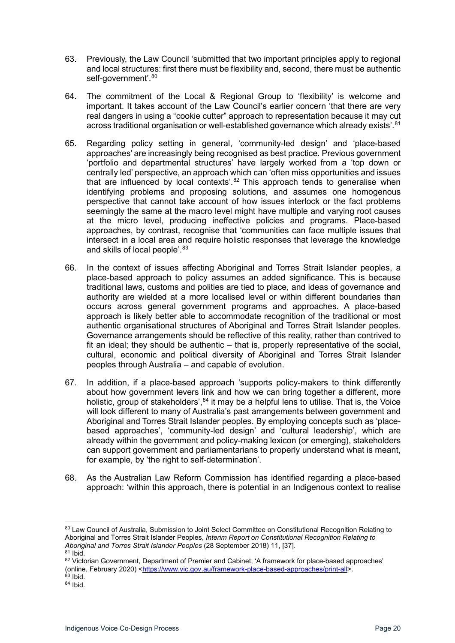- 63. Previously, the Law Council 'submitted that two important principles apply to regional and local structures: first there must be flexibility and, second, there must be authentic self-government'. [80](#page-19-0)
- 64. The commitment of the Local & Regional Group to 'flexibility' is welcome and important. It takes account of the Law Council's earlier concern 'that there are very real dangers in using a "cookie cutter" approach to representation because it may cut across traditional organisation or well-established governance which already exists'.<sup>[81](#page-19-1)</sup>
- 65. Regarding policy setting in general, 'community-led design' and 'place-based approaches' are increasingly being recognised as best practice. Previous government 'portfolio and departmental structures' have largely worked from a 'top down or centrally led' perspective, an approach which can 'often miss opportunities and issues that are influenced by local contexts'.<sup>[82](#page-19-2)</sup> This approach tends to generalise when identifying problems and proposing solutions, and assumes one homogenous perspective that cannot take account of how issues interlock or the fact problems seemingly the same at the macro level might have multiple and varying root causes at the micro level, producing ineffective policies and programs. Place-based approaches, by contrast, recognise that 'communities can face multiple issues that intersect in a local area and require holistic responses that leverage the knowledge and skills of local people'.<sup>[83](#page-19-3)</sup>
- 66. In the context of issues affecting Aboriginal and Torres Strait Islander peoples, a place-based approach to policy assumes an added significance. This is because traditional laws, customs and polities are tied to place, and ideas of governance and authority are wielded at a more localised level or within different boundaries than occurs across general government programs and approaches. A place-based approach is likely better able to accommodate recognition of the traditional or most authentic organisational structures of Aboriginal and Torres Strait Islander peoples. Governance arrangements should be reflective of this reality, rather than contrived to fit an ideal; they should be authentic – that is, properly representative of the social, cultural, economic and political diversity of Aboriginal and Torres Strait Islander peoples through Australia – and capable of evolution.
- 67. In addition, if a place-based approach 'supports policy-makers to think differently about how government levers link and how we can bring together a different, more holistic, group of stakeholders',<sup>[84](#page-19-4)</sup> it may be a helpful lens to utilise. That is, the Voice will look different to many of Australia's past arrangements between government and Aboriginal and Torres Strait Islander peoples. By employing concepts such as 'placebased approaches', 'community-led design' and 'cultural leadership', which are already within the government and policy-making lexicon (or emerging), stakeholders can support government and parliamentarians to properly understand what is meant, for example, by 'the right to self-determination'.
- 68. As the Australian Law Reform Commission has identified regarding a place-based approach: 'within this approach, there is potential in an Indigenous context to realise

<span id="page-19-0"></span><sup>80</sup> Law Council of Australia, Submission to Joint Select Committee on Constitutional Recognition Relating to Aboriginal and Torres Strait Islander Peoples, *Interim Report on Constitutional Recognition Relating to Aboriginal and Torres Strait Islander Peoples* (28 September 2018) 11, [37]. <sup>81</sup> Ibid.

<span id="page-19-2"></span><span id="page-19-1"></span><sup>82</sup> Victorian Government, Department of Premier and Cabinet, 'A framework for place-based approaches' (online, February 2020) [<https://www.vic.gov.au/framework-place-based-approaches/print-all>](https://www.vic.gov.au/framework-place-based-approaches/print-all).  $^{83}$  Ibid.

<span id="page-19-4"></span><span id="page-19-3"></span><sup>84</sup> Ibid.

Indigenous Voice Co-Design Process **Page 20** and the state of the state Page 20 and the state Page 20 and the state Page 20 and the state Page 20 and the state Page 20 and the state of the state of the state of the state o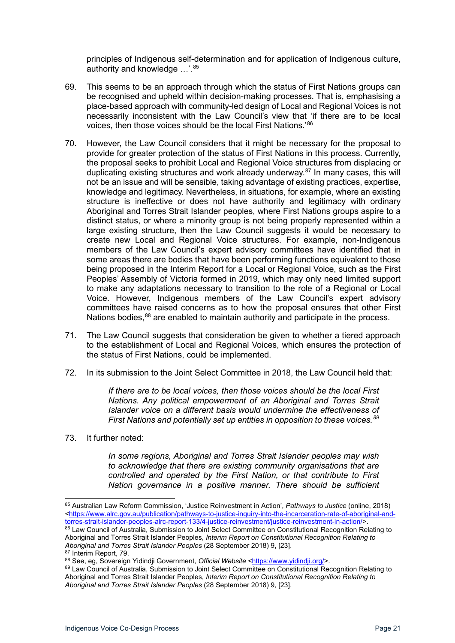principles of Indigenous self-determination and for application of Indigenous culture, authority and knowledge ...'.<sup>[85](#page-20-0)</sup>

- 69. This seems to be an approach through which the status of First Nations groups can be recognised and upheld within decision-making processes. That is, emphasising a place-based approach with community-led design of Local and Regional Voices is not necessarily inconsistent with the Law Council's view that 'if there are to be local voices, then those voices should be the local First Nations.'[86](#page-20-1)
- 70. However, the Law Council considers that it might be necessary for the proposal to provide for greater protection of the status of First Nations in this process. Currently, the proposal seeks to prohibit Local and Regional Voice structures from displacing or duplicating existing structures and work already underway.<sup>[87](#page-20-2)</sup> In many cases, this will not be an issue and will be sensible, taking advantage of existing practices, expertise, knowledge and legitimacy. Nevertheless, in situations, for example, where an existing structure is ineffective or does not have authority and legitimacy with ordinary Aboriginal and Torres Strait Islander peoples, where First Nations groups aspire to a distinct status, or where a minority group is not being properly represented within a large existing structure, then the Law Council suggests it would be necessary to create new Local and Regional Voice structures. For example, non-Indigenous members of the Law Council's expert advisory committees have identified that in some areas there are bodies that have been performing functions equivalent to those being proposed in the Interim Report for a Local or Regional Voice, such as the First Peoples' Assembly of Victoria formed in 2019, which may only need limited support to make any adaptations necessary to transition to the role of a Regional or Local Voice. However, Indigenous members of the Law Council's expert advisory committees have raised concerns as to how the proposal ensures that other First Nations bodies,<sup>[88](#page-20-3)</sup> are enabled to maintain authority and participate in the process.
- 71. The Law Council suggests that consideration be given to whether a tiered approach to the establishment of Local and Regional Voices, which ensures the protection of the status of First Nations, could be implemented.
- 72. In its submission to the Joint Select Committee in 2018, the Law Council held that:

*If there are to be local voices, then those voices should be the local First Nations. Any political empowerment of an Aboriginal and Torres Strait Islander voice on a different basis would undermine the effectiveness of First Nations and potentially set up entities in opposition to these voices.[89](#page-20-4)*

73. It further noted:

*In some regions, Aboriginal and Torres Strait Islander peoples may wish to acknowledge that there are existing community organisations that are controlled and operated by the First Nation, or that contribute to First Nation governance in a positive manner. There should be sufficient* 

<span id="page-20-0"></span><sup>85</sup> Australian Law Reform Commission, 'Justice Reinvestment in Action', *Pathways to Justice* (online, 2018) [<https://www.alrc.gov.au/publication/pathways-to-justice-inquiry-into-the-incarceration-rate-of-aboriginal-and](https://www.alrc.gov.au/publication/pathways-to-justice-inquiry-into-the-incarceration-rate-of-aboriginal-and-torres-strait-islander-peoples-alrc-report-133/4-justice-reinvestment/justice-reinvestment-in-action/)[torres-strait-islander-peoples-alrc-report-133/4-justice-reinvestment/justice-reinvestment-in-action/>](https://www.alrc.gov.au/publication/pathways-to-justice-inquiry-into-the-incarceration-rate-of-aboriginal-and-torres-strait-islander-peoples-alrc-report-133/4-justice-reinvestment/justice-reinvestment-in-action/).

<span id="page-20-1"></span><sup>86</sup> Law Council of Australia, Submission to Joint Select Committee on Constitutional Recognition Relating to Aboriginal and Torres Strait Islander Peoples, *Interim Report on Constitutional Recognition Relating to Aboriginal and Torres Strait Islander Peoples* (28 September 2018) 9, [23].

<span id="page-20-2"></span><sup>87</sup> Interim Report, 79.

<span id="page-20-3"></span><sup>88</sup> See, eg, Sovereign Yidindji Government, *Official Website* [<https://www.yidindji.org/>](https://www.yidindji.org/).

<span id="page-20-4"></span><sup>89</sup> Law Council of Australia, Submission to Joint Select Committee on Constitutional Recognition Relating to Aboriginal and Torres Strait Islander Peoples, *Interim Report on Constitutional Recognition Relating to Aboriginal and Torres Strait Islander Peoples* (28 September 2018) 9, [23].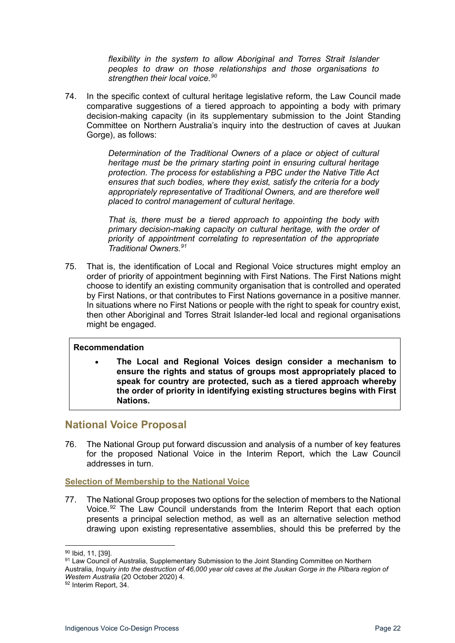*flexibility in the system to allow Aboriginal and Torres Strait Islander peoples to draw on those relationships and those organisations to strengthen their local voice.[90](#page-21-2)*

74. In the specific context of cultural heritage legislative reform, the Law Council made comparative suggestions of a tiered approach to appointing a body with primary decision-making capacity (in its supplementary submission to the Joint Standing Committee on Northern Australia's inquiry into the destruction of caves at Juukan Gorge), as follows:

> *Determination of the Traditional Owners of a place or object of cultural heritage must be the primary starting point in ensuring cultural heritage protection. The process for establishing a PBC under the Native Title Act ensures that such bodies, where they exist, satisfy the criteria for a body appropriately representative of Traditional Owners, and are therefore well placed to control management of cultural heritage.*

> *That is, there must be a tiered approach to appointing the body with primary decision-making capacity on cultural heritage, with the order of priority of appointment correlating to representation of the appropriate Traditional Owners.[91](#page-21-3)*

75. That is, the identification of Local and Regional Voice structures might employ an order of priority of appointment beginning with First Nations. The First Nations might choose to identify an existing community organisation that is controlled and operated by First Nations, or that contributes to First Nations governance in a positive manner. In situations where no First Nations or people with the right to speak for country exist, then other Aboriginal and Torres Strait Islander-led local and regional organisations might be engaged.

#### **Recommendation**

• **The Local and Regional Voices design consider a mechanism to ensure the rights and status of groups most appropriately placed to speak for country are protected, such as a tiered approach whereby the order of priority in identifying existing structures begins with First Nations.** 

### <span id="page-21-0"></span>**National Voice Proposal**

76. The National Group put forward discussion and analysis of a number of key features for the proposed National Voice in the Interim Report, which the Law Council addresses in turn.

#### <span id="page-21-1"></span>**Selection of Membership to the National Voice**

77. The National Group proposes two options for the selection of members to the National Voice.<sup>[92](#page-21-4)</sup> The Law Council understands from the Interim Report that each option presents a principal selection method, as well as an alternative selection method drawing upon existing representative assemblies, should this be preferred by the

<span id="page-21-2"></span><sup>90</sup> Ibid, 11, [39].

<span id="page-21-3"></span><sup>91</sup> Law Council of Australia, Supplementary Submission to the Joint Standing Committee on Northern Australia, *Inquiry into the destruction of 46,000 year old caves at the Juukan Gorge in the Pilbara region of Western Australia* (20 October 2020) 4.

<span id="page-21-4"></span><sup>92</sup> Interim Report, 34.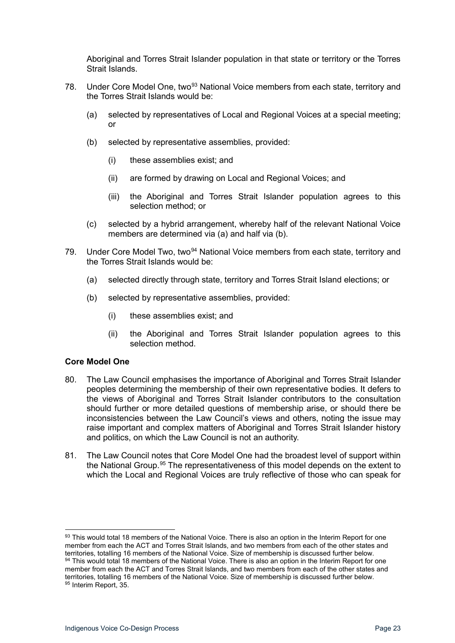Aboriginal and Torres Strait Islander population in that state or territory or the Torres Strait Islands.

- 78. Under Core Model One, two<sup>[93](#page-22-1)</sup> National Voice members from each state, territory and the Torres Strait Islands would be:
	- (a) selected by representatives of Local and Regional Voices at a special meeting; or
	- (b) selected by representative assemblies, provided:
		- (i) these assemblies exist; and
		- (ii) are formed by drawing on Local and Regional Voices; and
		- (iii) the Aboriginal and Torres Strait Islander population agrees to this selection method; or
	- (c) selected by a hybrid arrangement, whereby half of the relevant National Voice members are determined via (a) and half via (b).
- 79. Under Core Model Two, two<sup>[94](#page-22-2)</sup> National Voice members from each state, territory and the Torres Strait Islands would be:
	- (a) selected directly through state, territory and Torres Strait Island elections; or
	- (b) selected by representative assemblies, provided:
		- (i) these assemblies exist; and
		- (ii) the Aboriginal and Torres Strait Islander population agrees to this selection method.

#### <span id="page-22-0"></span>**Core Model One**

- 80. The Law Council emphasises the importance of Aboriginal and Torres Strait Islander peoples determining the membership of their own representative bodies. It defers to the views of Aboriginal and Torres Strait Islander contributors to the consultation should further or more detailed questions of membership arise, or should there be inconsistencies between the Law Council's views and others, noting the issue may raise important and complex matters of Aboriginal and Torres Strait Islander history and politics, on which the Law Council is not an authority.
- 81. The Law Council notes that Core Model One had the broadest level of support within the National Group.<sup>[95](#page-22-3)</sup> The representativeness of this model depends on the extent to which the Local and Regional Voices are truly reflective of those who can speak for

<span id="page-22-3"></span><span id="page-22-2"></span><span id="page-22-1"></span><sup>93</sup> This would total 18 members of the National Voice. There is also an option in the Interim Report for one member from each the ACT and Torres Strait Islands, and two members from each of the other states and territories, totalling 16 members of the National Voice. Size of membership is discussed further below. 94 This would total 18 members of the National Voice. There is also an option in the Interim Report for one member from each the ACT and Torres Strait Islands, and two members from each of the other states and territories, totalling 16 members of the National Voice. Size of membership is discussed further below. <sup>95</sup> Interim Report, 35.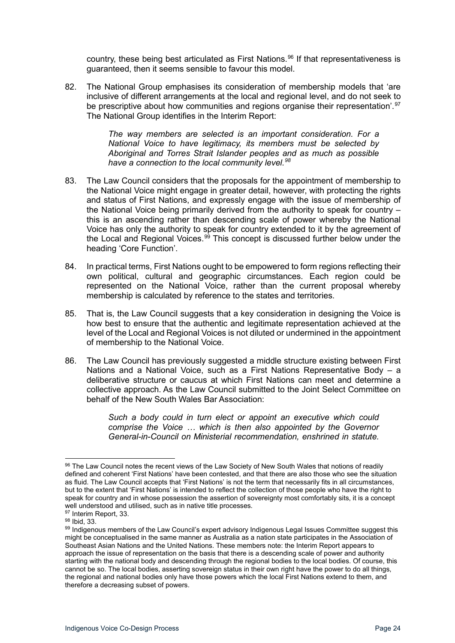country, these being best articulated as First Nations.<sup>[96](#page-23-0)</sup> If that representativeness is guaranteed, then it seems sensible to favour this model.

82. The National Group emphasises its consideration of membership models that 'are inclusive of different arrangements at the local and regional level, and do not seek to be prescriptive about how communities and regions organise their representation'.<sup>[97](#page-23-1)</sup> The National Group identifies in the Interim Report:

> *The way members are selected is an important consideration. For a National Voice to have legitimacy, its members must be selected by Aboriginal and Torres Strait Islander peoples and as much as possible have a connection to the local community level.[98](#page-23-2)*

- 83. The Law Council considers that the proposals for the appointment of membership to the National Voice might engage in greater detail, however, with protecting the rights and status of First Nations, and expressly engage with the issue of membership of the National Voice being primarily derived from the authority to speak for country  $$ this is an ascending rather than descending scale of power whereby the National Voice has only the authority to speak for country extended to it by the agreement of the Local and Regional Voices.<sup>[99](#page-23-3)</sup> This concept is discussed further below under the heading 'Core Function'.
- 84. In practical terms, First Nations ought to be empowered to form regions reflecting their own political, cultural and geographic circumstances. Each region could be represented on the National Voice, rather than the current proposal whereby membership is calculated by reference to the states and territories.
- 85. That is, the Law Council suggests that a key consideration in designing the Voice is how best to ensure that the authentic and legitimate representation achieved at the level of the Local and Regional Voices is not diluted or undermined in the appointment of membership to the National Voice.
- 86. The Law Council has previously suggested a middle structure existing between First Nations and a National Voice, such as a First Nations Representative Body – a deliberative structure or caucus at which First Nations can meet and determine a collective approach. As the Law Council submitted to the Joint Select Committee on behalf of the New South Wales Bar Association:

*Such a body could in turn elect or appoint an executive which could comprise the Voice … which is then also appointed by the Governor General-in-Council on Ministerial recommendation, enshrined in statute.* 

<span id="page-23-0"></span><sup>96</sup> The Law Council notes the recent views of the Law Society of New South Wales that notions of readily defined and coherent 'First Nations' have been contested, and that there are also those who see the situation as fluid. The Law Council accepts that 'First Nations' is not the term that necessarily fits in all circumstances, but to the extent that 'First Nations' is intended to reflect the collection of those people who have the right to speak for country and in whose possession the assertion of sovereignty most comfortably sits, it is a concept well understood and utilised, such as in native title processes.

<span id="page-23-1"></span><sup>97</sup> Interim Report, 33.

<sup>98</sup> Ibid, 33.

<span id="page-23-3"></span><span id="page-23-2"></span><sup>99</sup> Indigenous members of the Law Council's expert advisory Indigenous Legal Issues Committee suggest this might be conceptualised in the same manner as Australia as a nation state participates in the Association of Southeast Asian Nations and the United Nations. These members note: the Interim Report appears to approach the issue of representation on the basis that there is a descending scale of power and authority starting with the national body and descending through the regional bodies to the local bodies. Of course, this cannot be so. The local bodies, asserting sovereign status in their own right have the power to do all things, the regional and national bodies only have those powers which the local First Nations extend to them, and therefore a decreasing subset of powers.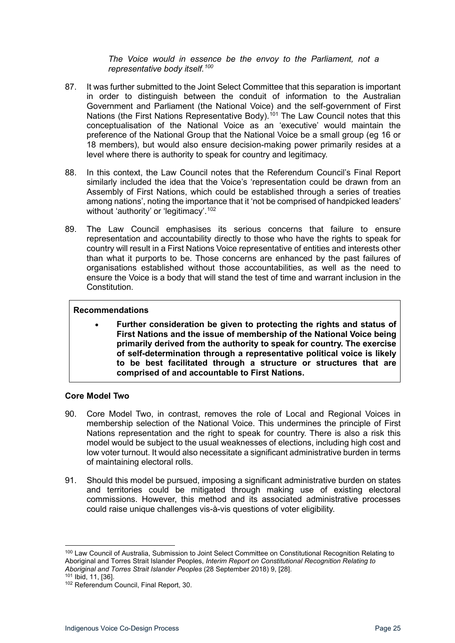#### *The Voice would in essence be the envoy to the Parliament, not a representative body itself. [100](#page-24-1)*

- 87. It was further submitted to the Joint Select Committee that this separation is important in order to distinguish between the conduit of information to the Australian Government and Parliament (the National Voice) and the self-government of First Nations (the First Nations Representative Body).<sup>[101](#page-24-2)</sup> The Law Council notes that this conceptualisation of the National Voice as an 'executive' would maintain the preference of the National Group that the National Voice be a small group (eg 16 or 18 members), but would also ensure decision-making power primarily resides at a level where there is authority to speak for country and legitimacy.
- 88. In this context, the Law Council notes that the Referendum Council's Final Report similarly included the idea that the Voice's 'representation could be drawn from an Assembly of First Nations, which could be established through a series of treaties among nations', noting the importance that it 'not be comprised of handpicked leaders' without 'authority' or 'legitimacy'. [102](#page-24-3)
- 89. The Law Council emphasises its serious concerns that failure to ensure representation and accountability directly to those who have the rights to speak for country will result in a First Nations Voice representative of entities and interests other than what it purports to be. Those concerns are enhanced by the past failures of organisations established without those accountabilities, as well as the need to ensure the Voice is a body that will stand the test of time and warrant inclusion in the Constitution.

#### **Recommendations**

• **Further consideration be given to protecting the rights and status of First Nations and the issue of membership of the National Voice being primarily derived from the authority to speak for country. The exercise of self-determination through a representative political voice is likely to be best facilitated through a structure or structures that are comprised of and accountable to First Nations.**

#### <span id="page-24-0"></span>**Core Model Two**

- 90. Core Model Two, in contrast, removes the role of Local and Regional Voices in membership selection of the National Voice. This undermines the principle of First Nations representation and the right to speak for country. There is also a risk this model would be subject to the usual weaknesses of elections, including high cost and low voter turnout. It would also necessitate a significant administrative burden in terms of maintaining electoral rolls.
- 91. Should this model be pursued, imposing a significant administrative burden on states and territories could be mitigated through making use of existing electoral commissions. However, this method and its associated administrative processes could raise unique challenges vis-à-vis questions of voter eligibility.

<span id="page-24-1"></span><sup>&</sup>lt;sup>100</sup> Law Council of Australia, Submission to Joint Select Committee on Constitutional Recognition Relating to Aboriginal and Torres Strait Islander Peoples, *Interim Report on Constitutional Recognition Relating to Aboriginal and Torres Strait Islander Peoples* (28 September 2018) 9, [28].

<span id="page-24-2"></span>

<span id="page-24-3"></span><sup>102</sup> Referendum Council, Final Report, 30.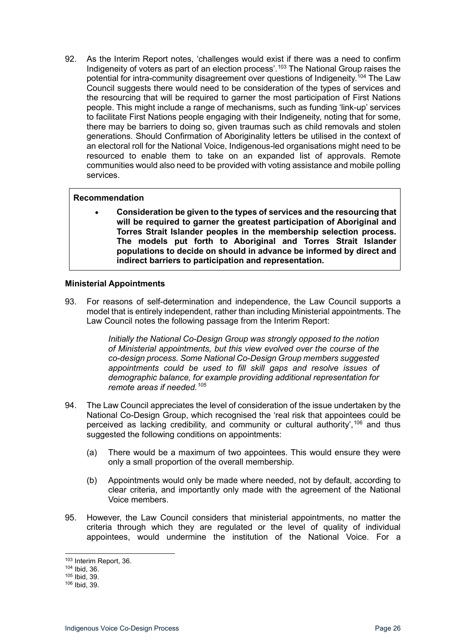92. As the Interim Report notes, 'challenges would exist if there was a need to confirm Indigeneity of voters as part of an election process'.<sup>[103](#page-25-1)</sup> The National Group raises the potential for intra-community disagreement over questions of Indigeneity.<sup>[104](#page-25-2)</sup> The Law Council suggests there would need to be consideration of the types of services and the resourcing that will be required to garner the most participation of First Nations people. This might include a range of mechanisms, such as funding 'link-up' services to facilitate First Nations people engaging with their Indigeneity, noting that for some, there may be barriers to doing so, given traumas such as child removals and stolen generations. Should Confirmation of Aboriginality letters be utilised in the context of an electoral roll for the National Voice, Indigenous-led organisations might need to be resourced to enable them to take on an expanded list of approvals. Remote communities would also need to be provided with voting assistance and mobile polling services.

#### **Recommendation**

• **Consideration be given to the types of services and the resourcing that will be required to garner the greatest participation of Aboriginal and Torres Strait Islander peoples in the membership selection process. The models put forth to Aboriginal and Torres Strait Islander populations to decide on should in advance be informed by direct and indirect barriers to participation and representation.**

#### <span id="page-25-0"></span>**Ministerial Appointments**

93. For reasons of self-determination and independence, the Law Council supports a model that is entirely independent, rather than including Ministerial appointments. The Law Council notes the following passage from the Interim Report:

> *Initially the National Co-Design Group was strongly opposed to the notion of Ministerial appointments, but this view evolved over the course of the co-design process. Some National Co-Design Group members suggested appointments could be used to fill skill gaps and resolve issues of demographic balance, for example providing additional representation for remote areas if needed.[105](#page-25-3)*

- 94. The Law Council appreciates the level of consideration of the issue undertaken by the National Co-Design Group, which recognised the 'real risk that appointees could be perceived as lacking credibility, and community or cultural authority',[106](#page-25-4) and thus suggested the following conditions on appointments:
	- (a) There would be a maximum of two appointees. This would ensure they were only a small proportion of the overall membership.
	- (b) Appointments would only be made where needed, not by default, according to clear criteria, and importantly only made with the agreement of the National Voice members.
- 95. However, the Law Council considers that ministerial appointments, no matter the criteria through which they are regulated or the level of quality of individual appointees, would undermine the institution of the National Voice. For a

<span id="page-25-1"></span><sup>103</sup> Interim Report, 36.

<span id="page-25-2"></span><sup>104</sup> Ibid, 36.

<span id="page-25-3"></span><sup>105</sup> Ibid, 39.

<span id="page-25-4"></span><sup>106</sup> Ibid, 39.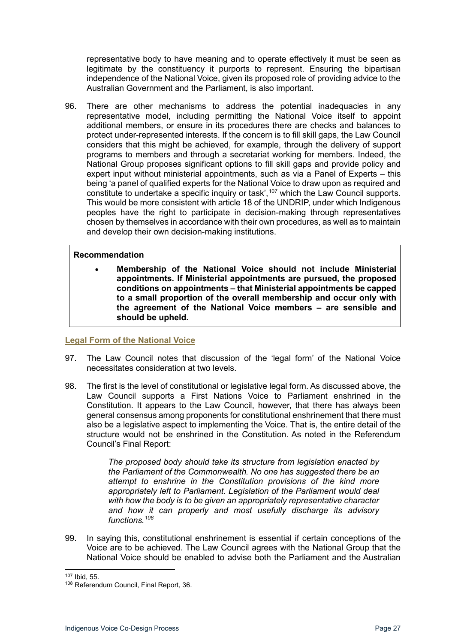representative body to have meaning and to operate effectively it must be seen as legitimate by the constituency it purports to represent. Ensuring the bipartisan independence of the National Voice, given its proposed role of providing advice to the Australian Government and the Parliament, is also important.

96. There are other mechanisms to address the potential inadequacies in any representative model, including permitting the National Voice itself to appoint additional members, or ensure in its procedures there are checks and balances to protect under-represented interests. If the concern is to fill skill gaps, the Law Council considers that this might be achieved, for example, through the delivery of support programs to members and through a secretariat working for members. Indeed, the National Group proposes significant options to fill skill gaps and provide policy and expert input without ministerial appointments, such as via a Panel of Experts – this being 'a panel of qualified experts for the National Voice to draw upon as required and constitute to undertake a specific inquiry or task', [107](#page-26-1) which the Law Council supports. This would be more consistent with article 18 of the UNDRIP, under which Indigenous peoples have the right to participate in decision-making through representatives chosen by themselves in accordance with their own procedures, as well as to maintain and develop their own decision-making institutions.

#### **Recommendation**

• **Membership of the National Voice should not include Ministerial appointments. If Ministerial appointments are pursued, the proposed conditions on appointments – that Ministerial appointments be capped to a small proportion of the overall membership and occur only with the agreement of the National Voice members – are sensible and should be upheld.**

#### <span id="page-26-0"></span>**Legal Form of the National Voice**

- 97. The Law Council notes that discussion of the 'legal form' of the National Voice necessitates consideration at two levels.
- 98. The first is the level of constitutional or legislative legal form. As discussed above, the Law Council supports a First Nations Voice to Parliament enshrined in the Constitution. It appears to the Law Council, however, that there has always been general consensus among proponents for constitutional enshrinement that there must also be a legislative aspect to implementing the Voice. That is, the entire detail of the structure would not be enshrined in the Constitution. As noted in the Referendum Council's Final Report:

*The proposed body should take its structure from legislation enacted by the Parliament of the Commonwealth. No one has suggested there be an attempt to enshrine in the Constitution provisions of the kind more appropriately left to Parliament. Legislation of the Parliament would deal with how the body is to be given an appropriately representative character and how it can properly and most usefully discharge its advisory functions.[108](#page-26-2)*

99. In saying this, constitutional enshrinement is essential if certain conceptions of the Voice are to be achieved. The Law Council agrees with the National Group that the National Voice should be enabled to advise both the Parliament and the Australian

<span id="page-26-1"></span><sup>107</sup> Ibid, 55.

<span id="page-26-2"></span><sup>108</sup> Referendum Council, Final Report, 36.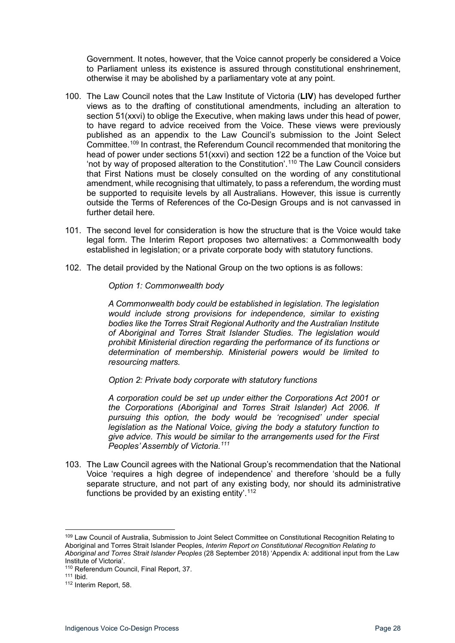Government. It notes, however, that the Voice cannot properly be considered a Voice to Parliament unless its existence is assured through constitutional enshrinement, otherwise it may be abolished by a parliamentary vote at any point.

- 100. The Law Council notes that the Law Institute of Victoria (**LIV**) has developed further views as to the drafting of constitutional amendments, including an alteration to section 51(xxvi) to oblige the Executive, when making laws under this head of power, to have regard to advice received from the Voice. These views were previously published as an appendix to the Law Council's submission to the Joint Select Committee. [109](#page-27-0) In contrast, the Referendum Council recommended that monitoring the head of power under sections 51(xxvi) and section 122 be a function of the Voice but 'not by way of proposed alteration to the Constitution'. [110](#page-27-1) The Law Council considers that First Nations must be closely consulted on the wording of any constitutional amendment, while recognising that ultimately, to pass a referendum, the wording must be supported to requisite levels by all Australians. However, this issue is currently outside the Terms of References of the Co-Design Groups and is not canvassed in further detail here.
- 101. The second level for consideration is how the structure that is the Voice would take legal form. The Interim Report proposes two alternatives: a Commonwealth body established in legislation; or a private corporate body with statutory functions.
- 102. The detail provided by the National Group on the two options is as follows:

*Option 1: Commonwealth body*

*A Commonwealth body could be established in legislation. The legislation would include strong provisions for independence, similar to existing bodies like the Torres Strait Regional Authority and the Australian Institute of Aboriginal and Torres Strait Islander Studies. The legislation would prohibit Ministerial direction regarding the performance of its functions or determination of membership. Ministerial powers would be limited to resourcing matters.* 

*Option 2: Private body corporate with statutory functions*

*A corporation could be set up under either the Corporations Act 2001 or the Corporations (Aboriginal and Torres Strait Islander) Act 2006. If pursuing this option, the body would be 'recognised' under special legislation as the National Voice, giving the body a statutory function to give advice. This would be similar to the arrangements used for the First Peoples' Assembly of Victoria.[111](#page-27-2)*

103. The Law Council agrees with the National Group's recommendation that the National Voice 'requires a high degree of independence' and therefore 'should be a fully separate structure, and not part of any existing body, nor should its administrative functions be provided by an existing entity'.<sup>[112](#page-27-3)</sup>

<span id="page-27-0"></span><sup>109</sup> Law Council of Australia, Submission to Joint Select Committee on Constitutional Recognition Relating to Aboriginal and Torres Strait Islander Peoples, *Interim Report on Constitutional Recognition Relating to Aboriginal and Torres Strait Islander Peoples* (28 September 2018) 'Appendix A: additional input from the Law Institute of Victoria'.

<sup>110</sup> Referendum Council, Final Report, 37.

<span id="page-27-3"></span><span id="page-27-2"></span><span id="page-27-1"></span><sup>111</sup> Ibid.

<sup>112</sup> Interim Report, 58.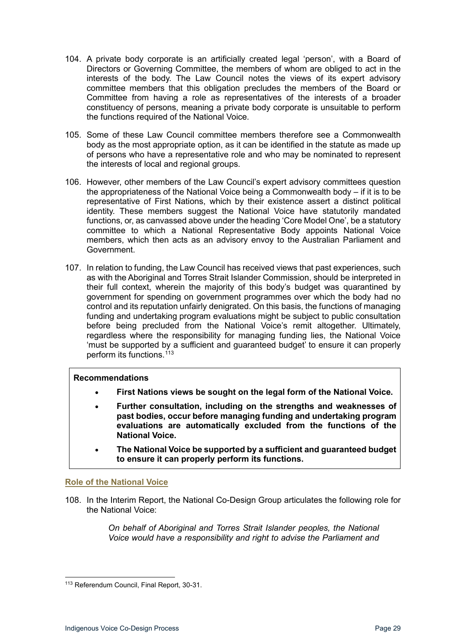- 104. A private body corporate is an artificially created legal 'person', with a Board of Directors or Governing Committee, the members of whom are obliged to act in the interests of the body. The Law Council notes the views of its expert advisory committee members that this obligation precludes the members of the Board or Committee from having a role as representatives of the interests of a broader constituency of persons, meaning a private body corporate is unsuitable to perform the functions required of the National Voice.
- 105. Some of these Law Council committee members therefore see a Commonwealth body as the most appropriate option, as it can be identified in the statute as made up of persons who have a representative role and who may be nominated to represent the interests of local and regional groups.
- 106. However, other members of the Law Council's expert advisory committees question the appropriateness of the National Voice being a Commonwealth body – if it is to be representative of First Nations, which by their existence assert a distinct political identity. These members suggest the National Voice have statutorily mandated functions, or, as canvassed above under the heading 'Core Model One', be a statutory committee to which a National Representative Body appoints National Voice members, which then acts as an advisory envoy to the Australian Parliament and Government.
- 107. In relation to funding, the Law Council has received views that past experiences, such as with the Aboriginal and Torres Strait Islander Commission, should be interpreted in their full context, wherein the majority of this body's budget was quarantined by government for spending on government programmes over which the body had no control and its reputation unfairly denigrated. On this basis, the functions of managing funding and undertaking program evaluations might be subject to public consultation before being precluded from the National Voice's remit altogether. Ultimately, regardless where the responsibility for managing funding lies, the National Voice 'must be supported by a sufficient and guaranteed budget' to ensure it can properly perform its functions. [113](#page-28-1)

#### **Recommendations**

- **First Nations views be sought on the legal form of the National Voice.**
- **Further consultation, including on the strengths and weaknesses of past bodies, occur before managing funding and undertaking program evaluations are automatically excluded from the functions of the National Voice.**
- **The National Voice be supported by a sufficient and guaranteed budget to ensure it can properly perform its functions.**

#### <span id="page-28-0"></span>**Role of the National Voice**

108. In the Interim Report, the National Co-Design Group articulates the following role for the National Voice:

> *On behalf of Aboriginal and Torres Strait Islander peoples, the National Voice would have a responsibility and right to advise the Parliament and*

<span id="page-28-1"></span><sup>113</sup> Referendum Council, Final Report, 30-31.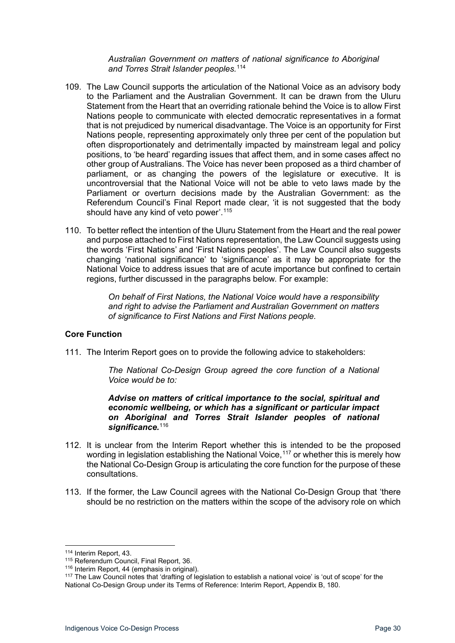*Australian Government on matters of national significance to Aboriginal and Torres Strait Islander peoples.*[114](#page-29-1)

- 109. The Law Council supports the articulation of the National Voice as an advisory body to the Parliament and the Australian Government. It can be drawn from the Uluru Statement from the Heart that an overriding rationale behind the Voice is to allow First Nations people to communicate with elected democratic representatives in a format that is not prejudiced by numerical disadvantage. The Voice is an opportunity for First Nations people, representing approximately only three per cent of the population but often disproportionately and detrimentally impacted by mainstream legal and policy positions, to 'be heard' regarding issues that affect them, and in some cases affect no other group of Australians. The Voice has never been proposed as a third chamber of parliament, or as changing the powers of the legislature or executive. It is uncontroversial that the National Voice will not be able to veto laws made by the Parliament or overturn decisions made by the Australian Government: as the Referendum Council's Final Report made clear, 'it is not suggested that the body should have any kind of veto power'.<sup>[115](#page-29-2)</sup>
- 110. To better reflect the intention of the Uluru Statement from the Heart and the real power and purpose attached to First Nations representation, the Law Council suggests using the words 'First Nations' and 'First Nations peoples'. The Law Council also suggests changing 'national significance' to 'significance' as it may be appropriate for the National Voice to address issues that are of acute importance but confined to certain regions, further discussed in the paragraphs below. For example:

*On behalf of First Nations, the National Voice would have a responsibility and right to advise the Parliament and Australian Government on matters of significance to First Nations and First Nations people.*

#### <span id="page-29-0"></span>**Core Function**

111. The Interim Report goes on to provide the following advice to stakeholders:

*The National Co-Design Group agreed the core function of a National Voice would be to:*

#### *Advise on matters of critical importance to the social, spiritual and economic wellbeing, or which has a significant or particular impact on Aboriginal and Torres Strait Islander peoples of national*  significance.<sup>[116](#page-29-3)</sup>

- 112. It is unclear from the Interim Report whether this is intended to be the proposed wording in legislation establishing the National Voice,  $117$  or whether this is merely how the National Co-Design Group is articulating the core function for the purpose of these consultations.
- 113. If the former, the Law Council agrees with the National Co-Design Group that 'there should be no restriction on the matters within the scope of the advisory role on which

<span id="page-29-2"></span><span id="page-29-1"></span><sup>&</sup>lt;sup>114</sup> Interim Report, 43.<br><sup>115</sup> Referendum Council. Final Report, 36.

 $116$  Interim Report, 44 (emphasis in original).

<span id="page-29-4"></span><span id="page-29-3"></span><sup>&</sup>lt;sup>117</sup> The Law Council notes that 'drafting of legislation to establish a national voice' is 'out of scope' for the National Co-Design Group under its Terms of Reference: Interim Report, Appendix B, 180.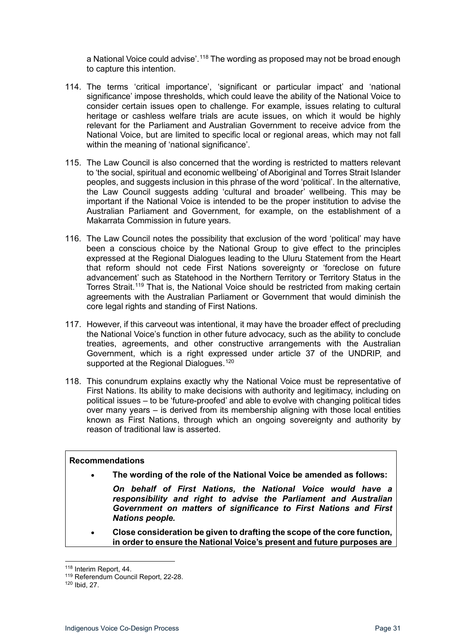a National Voice could advise'.<sup>[118](#page-30-0)</sup> The wording as proposed may not be broad enough to capture this intention.

- 114. The terms 'critical importance', 'significant or particular impact' and 'national significance' impose thresholds, which could leave the ability of the National Voice to consider certain issues open to challenge. For example, issues relating to cultural heritage or cashless welfare trials are acute issues, on which it would be highly relevant for the Parliament and Australian Government to receive advice from the National Voice, but are limited to specific local or regional areas, which may not fall within the meaning of 'national significance'.
- 115. The Law Council is also concerned that the wording is restricted to matters relevant to 'the social, spiritual and economic wellbeing' of Aboriginal and Torres Strait Islander peoples, and suggests inclusion in this phrase of the word 'political'. In the alternative, the Law Council suggests adding 'cultural and broader' wellbeing. This may be important if the National Voice is intended to be the proper institution to advise the Australian Parliament and Government, for example, on the establishment of a Makarrata Commission in future years.
- 116. The Law Council notes the possibility that exclusion of the word 'political' may have been a conscious choice by the National Group to give effect to the principles expressed at the Regional Dialogues leading to the Uluru Statement from the Heart that reform should not cede First Nations sovereignty or 'foreclose on future advancement' such as Statehood in the Northern Territory or Territory Status in the Torres Strait.<sup>[119](#page-30-1)</sup> That is, the National Voice should be restricted from making certain agreements with the Australian Parliament or Government that would diminish the core legal rights and standing of First Nations.
- 117. However, if this carveout was intentional, it may have the broader effect of precluding the National Voice's function in other future advocacy, such as the ability to conclude treaties, agreements, and other constructive arrangements with the Australian Government, which is a right expressed under article 37 of the UNDRIP, and supported at the Regional Dialogues.<sup>[120](#page-30-2)</sup>
- 118. This conundrum explains exactly why the National Voice must be representative of First Nations. Its ability to make decisions with authority and legitimacy, including on political issues – to be 'future-proofed' and able to evolve with changing political tides over many years – is derived from its membership aligning with those local entities known as First Nations, through which an ongoing sovereignty and authority by reason of traditional law is asserted.

#### **Recommendations**

• **The wording of the role of the National Voice be amended as follows:**

*On behalf of First Nations, the National Voice would have a responsibility and right to advise the Parliament and Australian Government on matters of significance to First Nations and First Nations people.*

• **Close consideration be given to drafting the scope of the core function, in order to ensure the National Voice's present and future purposes are** 

<span id="page-30-0"></span><sup>118</sup> Interim Report, 44.

<sup>119</sup> Referendum Council Report, 22-28.

<span id="page-30-2"></span><span id="page-30-1"></span><sup>120</sup> Ibid, 27.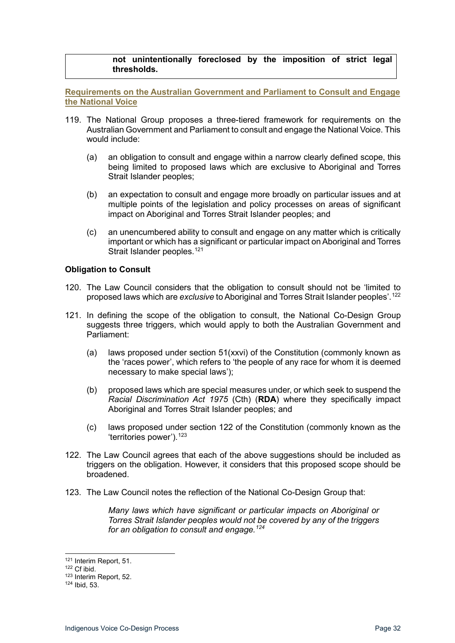#### **not unintentionally foreclosed by the imposition of strict legal thresholds.**

<span id="page-31-0"></span>**Requirements on the Australian Government and Parliament to Consult and Engage the National Voice**

- 119. The National Group proposes a three-tiered framework for requirements on the Australian Government and Parliament to consult and engage the National Voice. This would include:
	- (a) an obligation to consult and engage within a narrow clearly defined scope, this being limited to proposed laws which are exclusive to Aboriginal and Torres Strait Islander peoples;
	- (b) an expectation to consult and engage more broadly on particular issues and at multiple points of the legislation and policy processes on areas of significant impact on Aboriginal and Torres Strait Islander peoples; and
	- (c) an unencumbered ability to consult and engage on any matter which is critically important or which has a significant or particular impact on Aboriginal and Torres Strait Islander peoples.<sup>[121](#page-31-2)</sup>

#### <span id="page-31-1"></span>**Obligation to Consult**

- 120. The Law Council considers that the obligation to consult should not be 'limited to proposed laws which are *exclusive* to Aboriginal and Torres Strait Islander peoples'.[122](#page-31-3)
- 121. In defining the scope of the obligation to consult, the National Co-Design Group suggests three triggers, which would apply to both the Australian Government and Parliament:
	- (a) laws proposed under section 51(xxvi) of the Constitution (commonly known as the 'races power', which refers to 'the people of any race for whom it is deemed necessary to make special laws');
	- (b) proposed laws which are special measures under, or which seek to suspend the *Racial Discrimination Act 1975* (Cth) (**RDA**) where they specifically impact Aboriginal and Torres Strait Islander peoples; and
	- (c) laws proposed under section 122 of the Constitution (commonly known as the 'territories power').<sup>[123](#page-31-4)</sup>
- 122. The Law Council agrees that each of the above suggestions should be included as triggers on the obligation. However, it considers that this proposed scope should be broadened.
- 123. The Law Council notes the reflection of the National Co-Design Group that:

*Many laws which have significant or particular impacts on Aboriginal or Torres Strait Islander peoples would not be covered by any of the triggers for an obligation to consult and engage.[124](#page-31-5)*

<span id="page-31-2"></span><sup>121</sup> Interim Report, 51.

 $122$  Cf ibid.

<span id="page-31-4"></span><span id="page-31-3"></span><sup>123</sup> Interim Report, 52.

<span id="page-31-5"></span><sup>124</sup> Ibid, 53.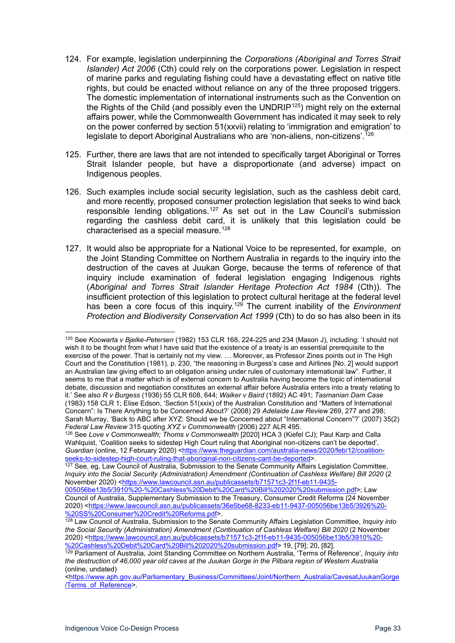- 124. For example, legislation underpinning the *Corporations (Aboriginal and Torres Strait Islander) Act 2006* (Cth) could rely on the corporations power. Legislation in respect of marine parks and regulating fishing could have a devastating effect on native title rights, but could be enacted without reliance on any of the three proposed triggers. The domestic implementation of international instruments such as the Convention on the Rights of the Child (and possibly even the UNDRIP<sup>[125](#page-32-0)</sup>) might rely on the external affairs power, while the Commonwealth Government has indicated it may seek to rely on the power conferred by section 51(xxvii) relating to 'immigration and emigration' to legislate to deport Aboriginal Australians who are 'non-aliens, non-citizens'.<sup>[126](#page-32-1)</sup>
- 125. Further, there are laws that are not intended to specifically target Aboriginal or Torres Strait Islander people, but have a disproportionate (and adverse) impact on Indigenous peoples.
- 126. Such examples include social security legislation, such as the cashless debit card, and more recently, proposed consumer protection legislation that seeks to wind back responsible lending obligations.<sup>[127](#page-32-2)</sup> As set out in the Law Council's submission regarding the cashless debit card, it is unlikely that this legislation could be characterised as a special measure.<sup>[128](#page-32-3)</sup>
- 127. It would also be appropriate for a National Voice to be represented, for example, on the Joint Standing Committee on Northern Australia in regards to the inquiry into the destruction of the caves at Juukan Gorge, because the terms of reference of that inquiry include examination of federal legislation engaging Indigenous rights (*Aboriginal and Torres Strait Islander Heritage Protection Act 1984* (Cth)). The insufficient protection of this legislation to protect cultural heritage at the federal level has been a core focus of this inquiry. [129](#page-32-4) The current inability of the *Environment Protection and Biodiversity Conservation Act 1999* (Cth) to do so has also been in its

<span id="page-32-0"></span><sup>125</sup> See *Koowarta v Bjelke-Petersen* (1982) 153 CLR 168, 224-225 and 234 (Mason J), including: 'I should not wish it to be thought from what I have said that the existence of a treaty is an essential prerequisite to the exercise of the power. That is certainly not my view. … Moreover, as Professor Zines points out in The High Court and the Constitution (1981), p. 230, "the reasoning in Burgess's case and Airlines [No. 2] would support an Australian law giving effect to an obligation arising under rules of customary international law". Further, it seems to me that a matter which is of external concern to Australia having become the topic of international debate, discussion and negotiation constitutes an external affair before Australia enters into a treaty relating to it.' See also *R v Burgess* (1936) 55 CLR 608, 644; *Walker v Baird* (1892) AC 491; *Tasmanian Dam Case* (1983) 158 CLR 1; Elise Edson, 'Section 51(xxix) of the Australian Constitution and "Matters of International Concern": Is There Anything to be Concerned About?' (2008) 29 *Adelaide Law Review* 269, 277 and 298; Sarah Murray, 'Back to ABC after XYZ: Should we be Concerned about "International Concern"?' (2007) 35(2) *Federal Law Review* 315 quoting *XYZ v Commonwealth* (2006) 227 ALR 495.

<span id="page-32-1"></span><sup>126</sup> See *Love v Commonwealth; Thoms v Commonwealth* [2020] HCA 3 (Kiefel CJ); Paul Karp and Calla Wahlquist, 'Coalition seeks to sidestep High Court ruling that Aboriginal non-citizens can't be deported', *Guardian* (online, 12 February 2020) [<https://www.theguardian.com/australia-news/2020/feb/12/coalition](https://www.theguardian.com/australia-news/2020/feb/12/coalition-seeks-to-sidestep-high-court-ruling-that-aboriginal-non-citizens-cant-be-deported)[seeks-to-sidestep-high-court-ruling-that-aboriginal-non-citizens-cant-be-deported>](https://www.theguardian.com/australia-news/2020/feb/12/coalition-seeks-to-sidestep-high-court-ruling-that-aboriginal-non-citizens-cant-be-deported).

<span id="page-32-2"></span><sup>127</sup> See, eg, Law Council of Australia, Submission to the Senate Community Affairs Legislation Committee, *Inquiry into the Social Security (Administration) Amendment (Continuation of Cashless Welfare) Bill 2020* (2 November 2020) [<https://www.lawcouncil.asn.au/publicassets/b71571c3-2f1f-eb11-9435-](https://www.lawcouncil.asn.au/publicassets/b71571c3-2f1f-eb11-9435-005056be13b5/3910%20-%20Cashless%20Debit%20Card%20Bill%202020%20submission.pdf)

[<sup>005056</sup>be13b5/3910%20-%20Cashless%20Debit%20Card%20Bill%202020%20submission.pdf>](https://www.lawcouncil.asn.au/publicassets/b71571c3-2f1f-eb11-9435-005056be13b5/3910%20-%20Cashless%20Debit%20Card%20Bill%202020%20submission.pdf); Law Council of Australia, Supplementary Submission to the Treasury, Consumer Credit Reforms (24 November 2020) [<https://www.lawcouncil.asn.au/publicassets/36e5be68-8233-eb11-9437-005056be13b5/3926%20-](https://www.lawcouncil.asn.au/publicassets/36e5be68-8233-eb11-9437-005056be13b5/3926%20-%20SS%20Consumer%20Credit%20Reforms.pdf) [%20SS%20Consumer%20Credit%20Reforms.pdf>](https://www.lawcouncil.asn.au/publicassets/36e5be68-8233-eb11-9437-005056be13b5/3926%20-%20SS%20Consumer%20Credit%20Reforms.pdf).

<span id="page-32-3"></span><sup>128</sup> Law Council of Australia, Submission to the Senate Community Affairs Legislation Committee, *Inquiry into the Social Security (Administration) Amendment (Continuation of Cashless Welfare) Bill 2020* (2 November 2020) [<https://www.lawcouncil.asn.au/publicassets/b71571c3-2f1f-eb11-9435-005056be13b5/3910%20-](https://www.lawcouncil.asn.au/publicassets/b71571c3-2f1f-eb11-9435-005056be13b5/3910%20-%20Cashless%20Debit%20Card%20Bill%202020%20submission.pdf) [%20Cashless%20Debit%20Card%20Bill%202020%20submission.pdf>](https://www.lawcouncil.asn.au/publicassets/b71571c3-2f1f-eb11-9435-005056be13b5/3910%20-%20Cashless%20Debit%20Card%20Bill%202020%20submission.pdf) 19, [79]; 20, [82].

<span id="page-32-4"></span><sup>129</sup> Parliament of Australia, Joint Standing Committee on Northern Australia, 'Terms of Reference', *Inquiry into the destruction of 46,000 year old caves at the Juukan Gorge in the Pilbara region of Western Australia* (online, undated)

[<sup>&</sup>lt;https://www.aph.gov.au/Parliamentary\\_Business/Committees/Joint/Northern\\_Australia/CavesatJuukanGorge](https://www.aph.gov.au/Parliamentary_Business/Committees/Joint/Northern_Australia/CavesatJuukanGorge/Terms_of_Reference) [/Terms\\_of\\_Reference>](https://www.aph.gov.au/Parliamentary_Business/Committees/Joint/Northern_Australia/CavesatJuukanGorge/Terms_of_Reference).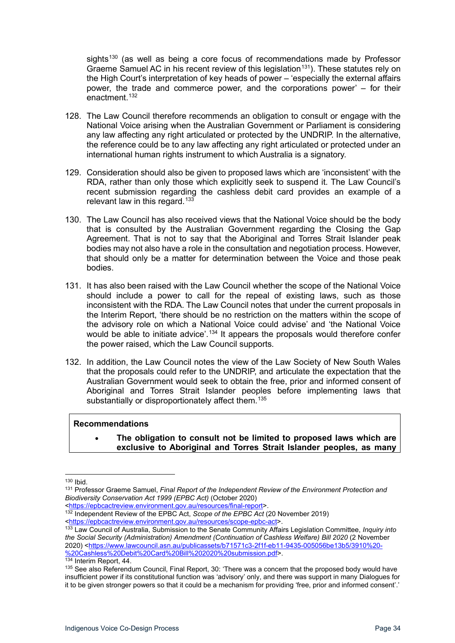sights<sup>[130](#page-33-0)</sup> (as well as being a core focus of recommendations made by Professor Graeme Samuel AC in his recent review of this legislation<sup>[131](#page-33-1)</sup>). These statutes rely on the High Court's interpretation of key heads of power – 'especially the external affairs power, the trade and commerce power, and the corporations power' – for their enactment.[132](#page-33-2)

- 128. The Law Council therefore recommends an obligation to consult or engage with the National Voice arising when the Australian Government or Parliament is considering any law affecting any right articulated or protected by the UNDRIP. In the alternative, the reference could be to any law affecting any right articulated or protected under an international human rights instrument to which Australia is a signatory.
- 129. Consideration should also be given to proposed laws which are 'inconsistent' with the RDA, rather than only those which explicitly seek to suspend it. The Law Council's recent submission regarding the cashless debit card provides an example of a relevant law in this regard.<sup>[133](#page-33-3)</sup>
- 130. The Law Council has also received views that the National Voice should be the body that is consulted by the Australian Government regarding the Closing the Gap Agreement. That is not to say that the Aboriginal and Torres Strait Islander peak bodies may not also have a role in the consultation and negotiation process. However, that should only be a matter for determination between the Voice and those peak bodies.
- 131. It has also been raised with the Law Council whether the scope of the National Voice should include a power to call for the repeal of existing laws, such as those inconsistent with the RDA. The Law Council notes that under the current proposals in the Interim Report, 'there should be no restriction on the matters within the scope of the advisory role on which a National Voice could advise' and 'the National Voice would be able to initiate advice'.<sup>[134](#page-33-4)</sup> It appears the proposals would therefore confer the power raised, which the Law Council supports.
- 132. In addition, the Law Council notes the view of the Law Society of New South Wales that the proposals could refer to the UNDRIP, and articulate the expectation that the Australian Government would seek to obtain the free, prior and informed consent of Aboriginal and Torres Strait Islander peoples before implementing laws that substantially or disproportionately affect them.<sup>[135](#page-33-5)</sup>

#### **Recommendations**

• **The obligation to consult not be limited to proposed laws which are exclusive to Aboriginal and Torres Strait Islander peoples, as many** 

<span id="page-33-2"></span>[<https://epbcactreview.environment.gov.au/resources/final-report>](https://epbcactreview.environment.gov.au/resources/final-report). <sup>132</sup> Independent Review of the EPBC Act, *Scope of the EPBC Act* (20 November 2019) [<https://epbcactreview.environment.gov.au/resources/scope-epbc-act>](https://epbcactreview.environment.gov.au/resources/scope-epbc-act).

<span id="page-33-3"></span><sup>133</sup> Law Council of Australia, Submission to the Senate Community Affairs Legislation Committee, *Inquiry into the Social Security (Administration) Amendment (Continuation of Cashless Welfare) Bill 2020* (2 November 2020) [<https://www.lawcouncil.asn.au/publicassets/b71571c3-2f1f-eb11-9435-005056be13b5/3910%20-](https://www.lawcouncil.asn.au/publicassets/b71571c3-2f1f-eb11-9435-005056be13b5/3910%20-%20Cashless%20Debit%20Card%20Bill%202020%20submission.pdf) [%20Cashless%20Debit%20Card%20Bill%202020%20submission.pdf>](https://www.lawcouncil.asn.au/publicassets/b71571c3-2f1f-eb11-9435-005056be13b5/3910%20-%20Cashless%20Debit%20Card%20Bill%202020%20submission.pdf). 134 Interim Report, 44.

<span id="page-33-0"></span><sup>130</sup> Ibid.

<span id="page-33-1"></span><sup>131</sup> Professor Graeme Samuel, *Final Report of the Independent Review of the Environment Protection and Biodiversity Conservation Act 1999 (EPBC Act)* (October 2020)

<span id="page-33-5"></span><span id="page-33-4"></span><sup>&</sup>lt;sup>135</sup> See also Referendum Council, Final Report, 30: 'There was a concern that the proposed body would have insufficient power if its constitutional function was 'advisory' only, and there was support in many Dialogues for it to be given stronger powers so that it could be a mechanism for providing 'free, prior and informed consent'.'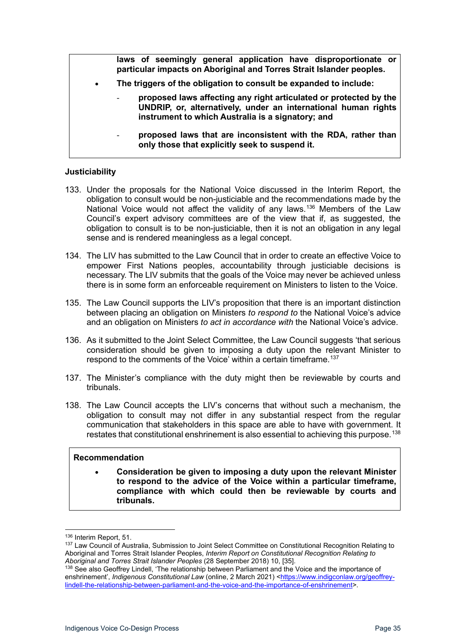|           | laws of seemingly general application have disproportionate or<br>particular impacts on Aboriginal and Torres Strait Islander peoples.                                                   |
|-----------|------------------------------------------------------------------------------------------------------------------------------------------------------------------------------------------|
| $\bullet$ | The triggers of the obligation to consult be expanded to include:                                                                                                                        |
|           | proposed laws affecting any right articulated or protected by the<br>UNDRIP, or, alternatively, under an international human rights<br>instrument to which Australia is a signatory; and |
|           | proposed laws that are inconsistent with the RDA, rather than<br>$\overline{\phantom{a}}$<br>only those that explicitly seek to suspend it.                                              |

#### <span id="page-34-0"></span>**Justiciability**

- 133. Under the proposals for the National Voice discussed in the Interim Report, the obligation to consult would be non-justiciable and the recommendations made by the National Voice would not affect the validity of any laws.<sup>[136](#page-34-1)</sup> Members of the Law Council's expert advisory committees are of the view that if, as suggested, the obligation to consult is to be non-justiciable, then it is not an obligation in any legal sense and is rendered meaningless as a legal concept.
- 134. The LIV has submitted to the Law Council that in order to create an effective Voice to empower First Nations peoples, accountability through justiciable decisions is necessary. The LIV submits that the goals of the Voice may never be achieved unless there is in some form an enforceable requirement on Ministers to listen to the Voice.
- 135. The Law Council supports the LIV's proposition that there is an important distinction between placing an obligation on Ministers *to respond to* the National Voice's advice and an obligation on Ministers *to act in accordance with* the National Voice's advice.
- 136. As it submitted to the Joint Select Committee, the Law Council suggests 'that serious consideration should be given to imposing a duty upon the relevant Minister to respond to the comments of the Voice' within a certain timeframe. [137](#page-34-2)
- 137. The Minister's compliance with the duty might then be reviewable by courts and tribunals.
- 138. The Law Council accepts the LIV's concerns that without such a mechanism, the obligation to consult may not differ in any substantial respect from the regular communication that stakeholders in this space are able to have with government. It restates that constitutional enshrinement is also essential to achieving this purpose.<sup>[138](#page-34-3)</sup>

#### **Recommendation**

• **Consideration be given to imposing a duty upon the relevant Minister to respond to the advice of the Voice within a particular timeframe, compliance with which could then be reviewable by courts and tribunals.**

<sup>136</sup> Interim Report, 51.

<span id="page-34-2"></span><span id="page-34-1"></span><sup>137</sup> Law Council of Australia, Submission to Joint Select Committee on Constitutional Recognition Relating to Aboriginal and Torres Strait Islander Peoples, *Interim Report on Constitutional Recognition Relating to Aboriginal and Torres Strait Islander Peoples* (28 September 2018) 10, [35].

<span id="page-34-3"></span><sup>138</sup> See also Geoffrey Lindell, 'The relationship between Parliament and the Voice and the importance of enshrinement', *Indigenous Constitutional Law* (online, 2 March 2021) [<https://www.indigconlaw.org/geoffrey](https://www.indigconlaw.org/geoffrey-lindell-the-relationship-between-parliament-and-the-voice-and-the-importance-of-enshrinement)[lindell-the-relationship-between-parliament-and-the-voice-and-the-importance-of-enshrinement>](https://www.indigconlaw.org/geoffrey-lindell-the-relationship-between-parliament-and-the-voice-and-the-importance-of-enshrinement).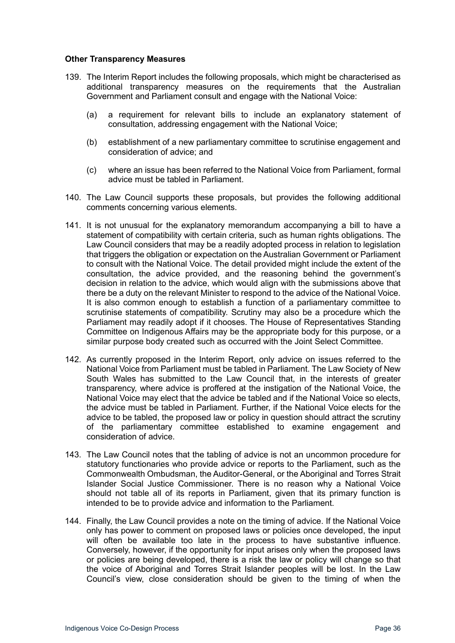#### <span id="page-35-0"></span>**Other Transparency Measures**

- 139. The Interim Report includes the following proposals, which might be characterised as additional transparency measures on the requirements that the Australian Government and Parliament consult and engage with the National Voice:
	- (a) a requirement for relevant bills to include an explanatory statement of consultation, addressing engagement with the National Voice;
	- (b) establishment of a new parliamentary committee to scrutinise engagement and consideration of advice; and
	- (c) where an issue has been referred to the National Voice from Parliament, formal advice must be tabled in Parliament.
- 140. The Law Council supports these proposals, but provides the following additional comments concerning various elements.
- 141. It is not unusual for the explanatory memorandum accompanying a bill to have a statement of compatibility with certain criteria, such as human rights obligations. The Law Council considers that may be a readily adopted process in relation to legislation that triggers the obligation or expectation on the Australian Government or Parliament to consult with the National Voice. The detail provided might include the extent of the consultation, the advice provided, and the reasoning behind the government's decision in relation to the advice, which would align with the submissions above that there be a duty on the relevant Minister to respond to the advice of the National Voice. It is also common enough to establish a function of a parliamentary committee to scrutinise statements of compatibility. Scrutiny may also be a procedure which the Parliament may readily adopt if it chooses. The House of Representatives Standing Committee on Indigenous Affairs may be the appropriate body for this purpose, or a similar purpose body created such as occurred with the Joint Select Committee.
- 142. As currently proposed in the Interim Report, only advice on issues referred to the National Voice from Parliament must be tabled in Parliament. The Law Society of New South Wales has submitted to the Law Council that, in the interests of greater transparency, where advice is proffered at the instigation of the National Voice, the National Voice may elect that the advice be tabled and if the National Voice so elects, the advice must be tabled in Parliament. Further, if the National Voice elects for the advice to be tabled, the proposed law or policy in question should attract the scrutiny of the parliamentary committee established to examine engagement and consideration of advice.
- 143. The Law Council notes that the tabling of advice is not an uncommon procedure for statutory functionaries who provide advice or reports to the Parliament, such as the Commonwealth Ombudsman, the Auditor-General, or the Aboriginal and Torres Strait Islander Social Justice Commissioner. There is no reason why a National Voice should not table all of its reports in Parliament, given that its primary function is intended to be to provide advice and information to the Parliament.
- 144. Finally, the Law Council provides a note on the timing of advice. If the National Voice only has power to comment on proposed laws or policies once developed, the input will often be available too late in the process to have substantive influence. Conversely, however, if the opportunity for input arises only when the proposed laws or policies are being developed, there is a risk the law or policy will change so that the voice of Aboriginal and Torres Strait Islander peoples will be lost. In the Law Council's view, close consideration should be given to the timing of when the